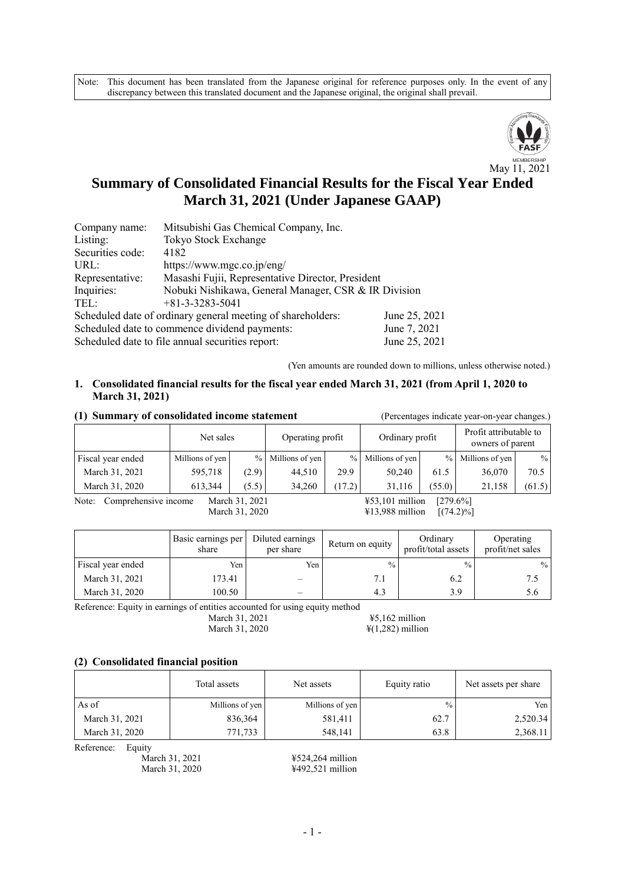Note: This document has been translated from the Japanese original for reference purposes only. In the event of any discrepancy between this translated document and the Japanese original, the original shall prevail.



# **Summary of Consolidated Financial Results for the Fiscal Year Ended March 31, 2021 (Under Japanese GAAP)**

| Company name:                                                                | Mitsubishi Gas Chemical Company, Inc.                |  |  |  |  |
|------------------------------------------------------------------------------|------------------------------------------------------|--|--|--|--|
| Listing:                                                                     | Tokyo Stock Exchange                                 |  |  |  |  |
| Securities code:                                                             | 4182                                                 |  |  |  |  |
| URL:                                                                         | https://www.mgc.co.jp/eng/                           |  |  |  |  |
| Representative:                                                              | Masashi Fujii, Representative Director, President    |  |  |  |  |
| Inquiries:                                                                   | Nobuki Nishikawa, General Manager, CSR & IR Division |  |  |  |  |
| TEL:                                                                         | $+81-3-3283-5041$                                    |  |  |  |  |
| June 25, 2021<br>Scheduled date of ordinary general meeting of shareholders: |                                                      |  |  |  |  |
| June 7, 2021<br>Scheduled date to commence dividend payments:                |                                                      |  |  |  |  |
| June 25, 2021<br>Scheduled date to file annual securities report:            |                                                      |  |  |  |  |

(Yen amounts are rounded down to millions, unless otherwise noted.)

#### **1. Consolidated financial results for the fiscal year ended March 31, 2021 (from April 1, 2020 to March 31, 2021)**

|                                                                                     | Net sales       |       | Operating profit                     |      | Ordinary profit     |               | Profit attributable to<br>owners of parent |               |
|-------------------------------------------------------------------------------------|-----------------|-------|--------------------------------------|------|---------------------|---------------|--------------------------------------------|---------------|
| Fiscal year ended                                                                   | Millions of yen |       | % Millions of yen                    |      | $%$ Millions of yen | $\frac{0}{0}$ | Millions of yen                            | $\frac{0}{0}$ |
| March 31, 2021                                                                      | 595,718         | (2.9) | 44.510                               | 29.9 | 50,240              | 61.5          | 36,070                                     | 70.5          |
| March 31, 2020                                                                      | 613.344         | (5.5) | 34,260<br>(17.2)<br>(55.0)<br>31.116 |      |                     |               | 21,158                                     | (61.5)        |
| Comprehensive income<br>$453,101$ million<br>March 31, 2021<br>$[279.6\%]$<br>Note: |                 |       |                                      |      |                     |               |                                            |               |

## **(1) Summary of consolidated income statement** (Percentages indicate year-on-year changes.)

March 31, 2020 ¥13,988 million [(74.2)%]

|                   | Basic earnings per<br>share | Diluted earnings<br>per share | Return on equity | Ordinary<br>profit/total assets | Operating<br>profit/net sales |
|-------------------|-----------------------------|-------------------------------|------------------|---------------------------------|-------------------------------|
| Fiscal year ended | Yen                         | Yen,                          | $\frac{0}{0}$    | $\frac{0}{0}$                   | $\frac{0}{0}$                 |
| March 31, 2021    | 173.41                      |                               |                  | 6.2                             | 7.5                           |
| March 31, 2020    | 100.50                      | $\overline{\phantom{0}}$      | 4.3              | 3.9                             | 5.6                           |

Reference: Equity in earnings of entities accounted for using equity method

March 31, 2021 ¥5,162 million March 31, 2020 <br>  $\frac{1}{2}$  (1,282) million

#### **(2) Consolidated financial position**

|                | Total assets    | Net assets      | Equity ratio  | Net assets per share |
|----------------|-----------------|-----------------|---------------|----------------------|
| As of          | Millions of yen | Millions of yen | $\frac{0}{0}$ | Yen                  |
| March 31, 2021 | 836,364         | 581,411         | 62.7          | 2,520.34             |
| March 31, 2020 | 771,733         | 548,141         | 63.8          | 2,368.11             |

Reference: Equity<br>March 31, 2021

March 31, 2021 <br>
March 31, 2020 <br>  $\frac{$524,264 \text{ million}}{$492,521 \text{ million}}$  $4492,521$  million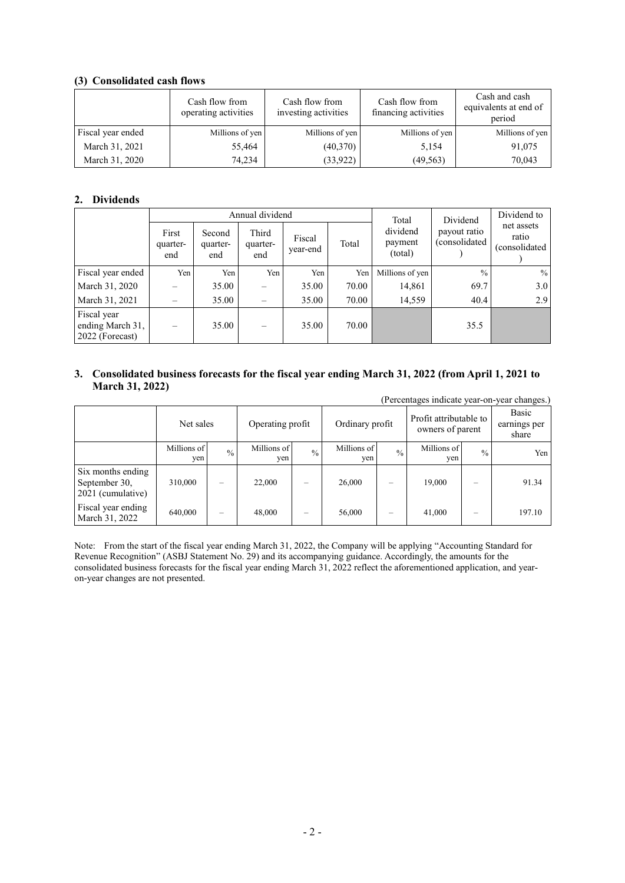## **(3) Consolidated cash flows**

|                   | Cash flow from<br>operating activities | Cash flow from<br>investing activities | Cash flow from<br>financing activities | Cash and cash<br>equivalents at end of<br>period |
|-------------------|----------------------------------------|----------------------------------------|----------------------------------------|--------------------------------------------------|
| Fiscal year ended | Millions of yen                        | Millions of yen                        | Millions of yen                        | Millions of yen                                  |
| March 31, 2021    | 55,464                                 | (40,370)                               | 5,154                                  | 91,075                                           |
| March 31, 2020    | 74,234                                 | (33, 922)                              | (49, 563)                              | 70,043                                           |

## **2. Dividends**

|                                                    |                          |                           | Annual dividend          |                    |       | Total                          | Dividend                       | Dividend to                          |
|----------------------------------------------------|--------------------------|---------------------------|--------------------------|--------------------|-------|--------------------------------|--------------------------------|--------------------------------------|
|                                                    | First<br>quarter-<br>end | Second<br>quarter-<br>end | Third<br>quarter-<br>end | Fiscal<br>year-end | Total | dividend<br>payment<br>(total) | payout ratio<br>(consolidated) | net assets<br>ratio<br>(consolidated |
| Fiscal year ended                                  | Yen                      | Yen                       | Yen                      | Yen                | Yen   | Millions of yen                | $\frac{0}{0}$                  | $\%$                                 |
| March 31, 2020                                     |                          | 35.00                     |                          | 35.00              | 70.00 | 14,861                         | 69.7                           | 3.0                                  |
| March 31, 2021                                     |                          | 35.00                     |                          | 35.00              | 70.00 | 14,559                         | 40.4                           | 2.9                                  |
| Fiscal year<br>ending March 31,<br>2022 (Forecast) |                          | 35.00                     |                          | 35.00              | 70.00 |                                | 35.5                           |                                      |

## **3. Consolidated business forecasts for the fiscal year ending March 31, 2022 (from April 1, 2021 to March 31, 2022)**

| (Percentages indicate year-on-year changes.)            |                    |             |                    |               |                    |               |                                            |               |                                |
|---------------------------------------------------------|--------------------|-------------|--------------------|---------------|--------------------|---------------|--------------------------------------------|---------------|--------------------------------|
|                                                         | Net sales          |             | Operating profit   |               | Ordinary profit    |               | Profit attributable to<br>owners of parent |               | Basic<br>earnings per<br>share |
|                                                         | Millions of<br>yen | $^{0}/_{0}$ | Millions of<br>yen | $\frac{0}{0}$ | Millions of<br>yen | $\frac{0}{0}$ | Millions of<br>yen                         | $\frac{0}{0}$ | Yen l                          |
| Six months ending<br>September 30,<br>2021 (cumulative) | 310,000            |             | 22,000             |               | 26,000             |               | 19,000                                     |               | 91.34                          |
| Fiscal year ending<br>March 31, 2022                    | 640,000            |             | 48,000             |               | 56,000             |               | 41,000                                     |               | 197.10                         |

Note: From the start of the fiscal year ending March 31, 2022, the Company will be applying "Accounting Standard for Revenue Recognition" (ASBJ Statement No. 29) and its accompanying guidance. Accordingly, the amounts for the consolidated business forecasts for the fiscal year ending March 31, 2022 reflect the aforementioned application, and yearon-year changes are not presented.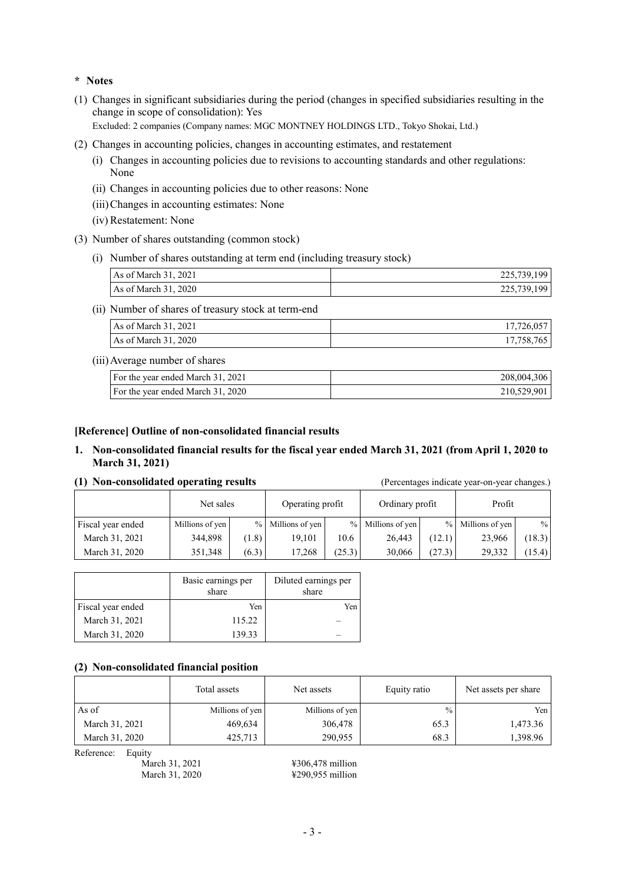## **\* Notes**

(1) Changes in significant subsidiaries during the period (changes in specified subsidiaries resulting in the change in scope of consolidation): Yes

Excluded: 2 companies (Company names: MGC MONTNEY HOLDINGS LTD., Tokyo Shokai, Ltd.)

- (2) Changes in accounting policies, changes in accounting estimates, and restatement
	- (i) Changes in accounting policies due to revisions to accounting standards and other regulations: None
	- (ii) Changes in accounting policies due to other reasons: None
	- (iii)Changes in accounting estimates: None
	- (iv) Restatement: None
- (3) Number of shares outstanding (common stock)
	- (i) Number of shares outstanding at term end (including treasury stock)

| As of March 31, 2021 | 225,739,199 |
|----------------------|-------------|
| As of March 31, 2020 | 225,739,199 |

(ii) Number of shares of treasury stock at term-end

| As of March 31, 2021  | 17,726,057 |
|-----------------------|------------|
| As of March $31,2020$ | 17,758,765 |

#### (iii)Average number of shares

| For the year ended March 31, 2021 | 208,004,306 |
|-----------------------------------|-------------|
| For the year ended March 31, 2020 | 210,529,901 |

## **[Reference] Outline of non-consolidated financial results**

**1. Non-consolidated financial results for the fiscal year ended March 31, 2021 (from April 1, 2020 to March 31, 2021)**

#### **(1) Non-consolidated operating results** (Percentages indicate year-on-year changes.)

|                   | Net sales       |       | Operating profit  |        | Ordinary profit   |        | Profit            |        |
|-------------------|-----------------|-------|-------------------|--------|-------------------|--------|-------------------|--------|
| Fiscal year ended | Millions of yen |       | % Millions of yen |        | % Millions of yen |        | % Millions of yen | $\%$   |
| March 31, 2021    | 344,898         | (1.8) | 19.101            | 10.6   | 26.443            | (12.1) | 23,966            | (18.3) |
| March 31, 2020    | 351,348         | (6.3) | 17,268            | (25.3) | 30,066            | (27.3) | 29,332            | (15.4) |

|                   | Basic earnings per<br>share | Diluted earnings per<br>share |
|-------------------|-----------------------------|-------------------------------|
| Fiscal year ended | Yen                         | Yen                           |
| March 31, 2021    | 115.22                      |                               |
| March 31, 2020    | 139.33                      |                               |

#### **(2) Non-consolidated financial position**

|                | Total assets    | Net assets      | Equity ratio  | Net assets per share |  |
|----------------|-----------------|-----------------|---------------|----------------------|--|
| As of          | Millions of yen | Millions of yen | $\frac{0}{0}$ | Yen                  |  |
| March 31, 2021 | 469,634         | 306,478         | 65.3          | 1,473.36             |  |
| March 31, 2020 | 425,713         | 290,955         | 68.3          | 1,398.96             |  |

Reference: Equity

March 31, 2021 <br>
March 31, 2020 <br>  $\frac{$306,478 \text{ million}}{290,955 \text{ million}}$  $4290,955$  million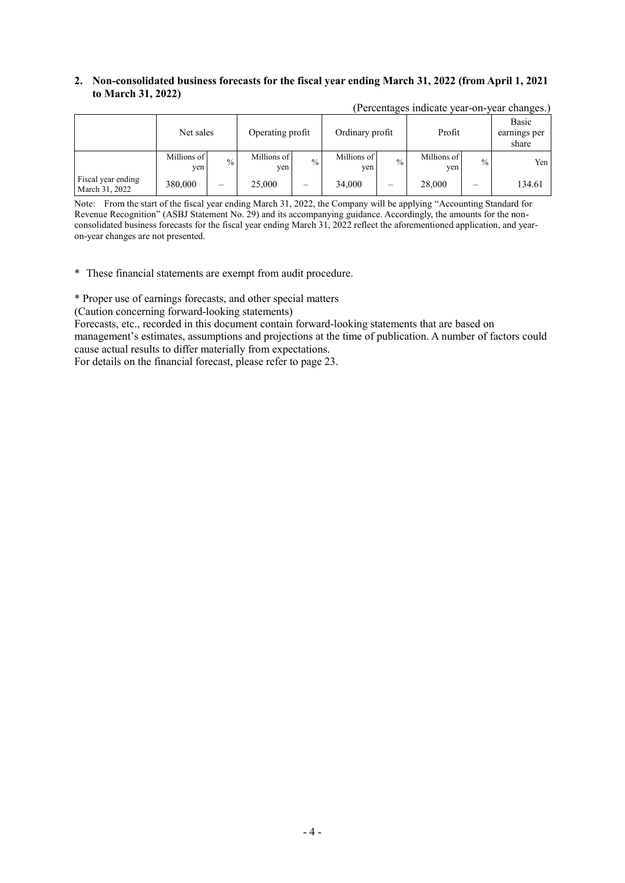## **2. Non-consolidated business forecasts for the fiscal year ending March 31, 2022 (from April 1, 2021 to March 31, 2022)**

| $\mu$ credinages increate year on year enanges. |                    |               |                    |               |                    |               |                    |                          |                                |
|-------------------------------------------------|--------------------|---------------|--------------------|---------------|--------------------|---------------|--------------------|--------------------------|--------------------------------|
|                                                 | Net sales          |               | Operating profit   |               | Ordinary profit    |               | Profit             |                          | Basic<br>earnings per<br>share |
|                                                 | Millions of<br>yen | $\frac{0}{0}$ | Millions of<br>yen | $\frac{0}{0}$ | Millions of<br>yen | $\frac{0}{0}$ | Millions of<br>yen | $\%$                     | Yen.                           |
| Fiscal year ending<br>March 31, 2022            | 380,000            | —             | 25,000             | —             | 34,000             | —             | 28,000             | $\overline{\phantom{0}}$ | 134.61                         |

(Percentages indicate year-on-year changes.)

Note: From the start of the fiscal year ending March 31, 2022, the Company will be applying "Accounting Standard for Revenue Recognition" (ASBJ Statement No. 29) and its accompanying guidance. Accordingly, the amounts for the nonconsolidated business forecasts for the fiscal year ending March 31, 2022 reflect the aforementioned application, and yearon-year changes are not presented.

\* These financial statements are exempt from audit procedure.

\* Proper use of earnings forecasts, and other special matters

(Caution concerning forward-looking statements)

Forecasts, etc., recorded in this document contain forward-looking statements that are based on management's estimates, assumptions and projections at the time of publication. A number of factors could cause actual results to differ materially from expectations.

For details on the financial forecast, please refer to page 23.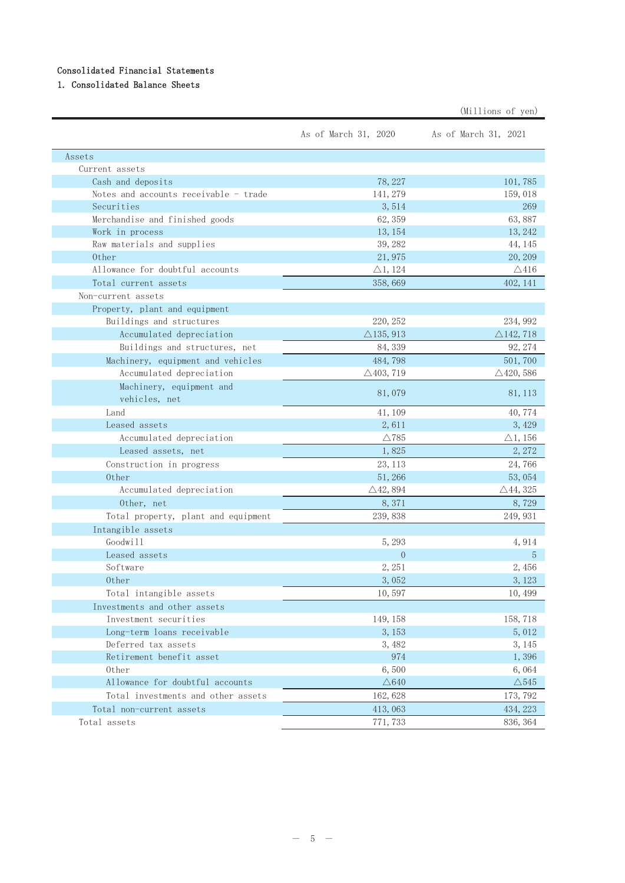## Consolidated Financial Statements

1. Consolidated Balance Sheets

| Assets<br>Current assets<br>78, 227<br>Cash and deposits<br>101,785<br>Notes and accounts receivable - trade<br>141, 279<br>159, 018<br>269<br>Securities<br>3,514<br>62, 359<br>63,887<br>Merchandise and finished goods<br>Work in process<br>13, 154<br>13, 242<br>Raw materials and supplies<br>39, 282<br>44, 145<br>0ther<br>21,975<br>20, 209<br>Allowance for doubtful accounts<br>$\triangle 1, 124$<br>$\triangle$ 416<br>Total current assets<br>402, 141<br>358,669<br>Non-current assets<br>Property, plant and equipment<br>220, 252<br>Buildings and structures<br>234, 992<br>Accumulated depreciation<br>$\triangle$ 135, 913<br>$\triangle$ 142, 718<br>Buildings and structures, net<br>84, 339<br>92, 274<br>Machinery, equipment and vehicles<br>484, 798<br>501, 700<br>Accumulated depreciation<br>$\triangle$ 403, 719<br>$\triangle$ 420, 586<br>Machinery, equipment and<br>81,079<br>81, 113<br>vehicles, net<br>Land<br>41, 109<br>40, 774<br>Leased assets<br>2,611<br>3, 429<br>Accumulated depreciation<br>$\triangle$ 785<br>$\triangle$ 1, 156<br>1,825<br>Leased assets, net<br>2, 272<br>Construction in progress<br>23, 113<br>24,766<br>0ther<br>51,266<br>53, 054<br>Accumulated depreciation<br>$\triangle$ 42, 894<br>$\triangle$ 44, 325<br>Other, net<br>8,729<br>8,371<br>Total property, plant and equipment<br>239,838<br>249, 931<br>Intangible assets<br>Goodwill<br>5, 293<br>4,914<br>Leased assets<br>$\overline{0}$<br>5<br>Software<br>2, 251<br>2,456<br>0ther<br>3,052<br>3, 123<br>10,597<br>Total intangible assets<br>10, 499<br>Investments and other assets<br>Investment securities<br>149, 158<br>158, 718<br>5,012<br>Long-term loans receivable<br>3, 153<br>Deferred tax assets<br>3,482<br>3, 145<br>974<br>1,396<br>Retirement benefit asset<br>6,500<br>Other<br>6,064<br>Allowance for doubtful accounts<br>$\triangle 640$<br>$\triangle$ 545<br>173, 792<br>162, 628<br>Total investments and other assets<br>413,063<br>434, 223<br>Total non-current assets |              | As of March 31, 2020 As of March 31, 2021 |          |
|-------------------------------------------------------------------------------------------------------------------------------------------------------------------------------------------------------------------------------------------------------------------------------------------------------------------------------------------------------------------------------------------------------------------------------------------------------------------------------------------------------------------------------------------------------------------------------------------------------------------------------------------------------------------------------------------------------------------------------------------------------------------------------------------------------------------------------------------------------------------------------------------------------------------------------------------------------------------------------------------------------------------------------------------------------------------------------------------------------------------------------------------------------------------------------------------------------------------------------------------------------------------------------------------------------------------------------------------------------------------------------------------------------------------------------------------------------------------------------------------------------------------------------------------------------------------------------------------------------------------------------------------------------------------------------------------------------------------------------------------------------------------------------------------------------------------------------------------------------------------------------------------------------------------------------------------------------------------------------------------------------------------------------------|--------------|-------------------------------------------|----------|
|                                                                                                                                                                                                                                                                                                                                                                                                                                                                                                                                                                                                                                                                                                                                                                                                                                                                                                                                                                                                                                                                                                                                                                                                                                                                                                                                                                                                                                                                                                                                                                                                                                                                                                                                                                                                                                                                                                                                                                                                                                     |              |                                           |          |
|                                                                                                                                                                                                                                                                                                                                                                                                                                                                                                                                                                                                                                                                                                                                                                                                                                                                                                                                                                                                                                                                                                                                                                                                                                                                                                                                                                                                                                                                                                                                                                                                                                                                                                                                                                                                                                                                                                                                                                                                                                     |              |                                           |          |
|                                                                                                                                                                                                                                                                                                                                                                                                                                                                                                                                                                                                                                                                                                                                                                                                                                                                                                                                                                                                                                                                                                                                                                                                                                                                                                                                                                                                                                                                                                                                                                                                                                                                                                                                                                                                                                                                                                                                                                                                                                     |              |                                           |          |
|                                                                                                                                                                                                                                                                                                                                                                                                                                                                                                                                                                                                                                                                                                                                                                                                                                                                                                                                                                                                                                                                                                                                                                                                                                                                                                                                                                                                                                                                                                                                                                                                                                                                                                                                                                                                                                                                                                                                                                                                                                     |              |                                           |          |
|                                                                                                                                                                                                                                                                                                                                                                                                                                                                                                                                                                                                                                                                                                                                                                                                                                                                                                                                                                                                                                                                                                                                                                                                                                                                                                                                                                                                                                                                                                                                                                                                                                                                                                                                                                                                                                                                                                                                                                                                                                     |              |                                           |          |
|                                                                                                                                                                                                                                                                                                                                                                                                                                                                                                                                                                                                                                                                                                                                                                                                                                                                                                                                                                                                                                                                                                                                                                                                                                                                                                                                                                                                                                                                                                                                                                                                                                                                                                                                                                                                                                                                                                                                                                                                                                     |              |                                           |          |
|                                                                                                                                                                                                                                                                                                                                                                                                                                                                                                                                                                                                                                                                                                                                                                                                                                                                                                                                                                                                                                                                                                                                                                                                                                                                                                                                                                                                                                                                                                                                                                                                                                                                                                                                                                                                                                                                                                                                                                                                                                     |              |                                           |          |
|                                                                                                                                                                                                                                                                                                                                                                                                                                                                                                                                                                                                                                                                                                                                                                                                                                                                                                                                                                                                                                                                                                                                                                                                                                                                                                                                                                                                                                                                                                                                                                                                                                                                                                                                                                                                                                                                                                                                                                                                                                     |              |                                           |          |
|                                                                                                                                                                                                                                                                                                                                                                                                                                                                                                                                                                                                                                                                                                                                                                                                                                                                                                                                                                                                                                                                                                                                                                                                                                                                                                                                                                                                                                                                                                                                                                                                                                                                                                                                                                                                                                                                                                                                                                                                                                     |              |                                           |          |
|                                                                                                                                                                                                                                                                                                                                                                                                                                                                                                                                                                                                                                                                                                                                                                                                                                                                                                                                                                                                                                                                                                                                                                                                                                                                                                                                                                                                                                                                                                                                                                                                                                                                                                                                                                                                                                                                                                                                                                                                                                     |              |                                           |          |
|                                                                                                                                                                                                                                                                                                                                                                                                                                                                                                                                                                                                                                                                                                                                                                                                                                                                                                                                                                                                                                                                                                                                                                                                                                                                                                                                                                                                                                                                                                                                                                                                                                                                                                                                                                                                                                                                                                                                                                                                                                     |              |                                           |          |
|                                                                                                                                                                                                                                                                                                                                                                                                                                                                                                                                                                                                                                                                                                                                                                                                                                                                                                                                                                                                                                                                                                                                                                                                                                                                                                                                                                                                                                                                                                                                                                                                                                                                                                                                                                                                                                                                                                                                                                                                                                     |              |                                           |          |
|                                                                                                                                                                                                                                                                                                                                                                                                                                                                                                                                                                                                                                                                                                                                                                                                                                                                                                                                                                                                                                                                                                                                                                                                                                                                                                                                                                                                                                                                                                                                                                                                                                                                                                                                                                                                                                                                                                                                                                                                                                     |              |                                           |          |
|                                                                                                                                                                                                                                                                                                                                                                                                                                                                                                                                                                                                                                                                                                                                                                                                                                                                                                                                                                                                                                                                                                                                                                                                                                                                                                                                                                                                                                                                                                                                                                                                                                                                                                                                                                                                                                                                                                                                                                                                                                     |              |                                           |          |
|                                                                                                                                                                                                                                                                                                                                                                                                                                                                                                                                                                                                                                                                                                                                                                                                                                                                                                                                                                                                                                                                                                                                                                                                                                                                                                                                                                                                                                                                                                                                                                                                                                                                                                                                                                                                                                                                                                                                                                                                                                     |              |                                           |          |
|                                                                                                                                                                                                                                                                                                                                                                                                                                                                                                                                                                                                                                                                                                                                                                                                                                                                                                                                                                                                                                                                                                                                                                                                                                                                                                                                                                                                                                                                                                                                                                                                                                                                                                                                                                                                                                                                                                                                                                                                                                     |              |                                           |          |
|                                                                                                                                                                                                                                                                                                                                                                                                                                                                                                                                                                                                                                                                                                                                                                                                                                                                                                                                                                                                                                                                                                                                                                                                                                                                                                                                                                                                                                                                                                                                                                                                                                                                                                                                                                                                                                                                                                                                                                                                                                     |              |                                           |          |
|                                                                                                                                                                                                                                                                                                                                                                                                                                                                                                                                                                                                                                                                                                                                                                                                                                                                                                                                                                                                                                                                                                                                                                                                                                                                                                                                                                                                                                                                                                                                                                                                                                                                                                                                                                                                                                                                                                                                                                                                                                     |              |                                           |          |
|                                                                                                                                                                                                                                                                                                                                                                                                                                                                                                                                                                                                                                                                                                                                                                                                                                                                                                                                                                                                                                                                                                                                                                                                                                                                                                                                                                                                                                                                                                                                                                                                                                                                                                                                                                                                                                                                                                                                                                                                                                     |              |                                           |          |
|                                                                                                                                                                                                                                                                                                                                                                                                                                                                                                                                                                                                                                                                                                                                                                                                                                                                                                                                                                                                                                                                                                                                                                                                                                                                                                                                                                                                                                                                                                                                                                                                                                                                                                                                                                                                                                                                                                                                                                                                                                     |              |                                           |          |
|                                                                                                                                                                                                                                                                                                                                                                                                                                                                                                                                                                                                                                                                                                                                                                                                                                                                                                                                                                                                                                                                                                                                                                                                                                                                                                                                                                                                                                                                                                                                                                                                                                                                                                                                                                                                                                                                                                                                                                                                                                     |              |                                           |          |
|                                                                                                                                                                                                                                                                                                                                                                                                                                                                                                                                                                                                                                                                                                                                                                                                                                                                                                                                                                                                                                                                                                                                                                                                                                                                                                                                                                                                                                                                                                                                                                                                                                                                                                                                                                                                                                                                                                                                                                                                                                     |              |                                           |          |
|                                                                                                                                                                                                                                                                                                                                                                                                                                                                                                                                                                                                                                                                                                                                                                                                                                                                                                                                                                                                                                                                                                                                                                                                                                                                                                                                                                                                                                                                                                                                                                                                                                                                                                                                                                                                                                                                                                                                                                                                                                     |              |                                           |          |
|                                                                                                                                                                                                                                                                                                                                                                                                                                                                                                                                                                                                                                                                                                                                                                                                                                                                                                                                                                                                                                                                                                                                                                                                                                                                                                                                                                                                                                                                                                                                                                                                                                                                                                                                                                                                                                                                                                                                                                                                                                     |              |                                           |          |
|                                                                                                                                                                                                                                                                                                                                                                                                                                                                                                                                                                                                                                                                                                                                                                                                                                                                                                                                                                                                                                                                                                                                                                                                                                                                                                                                                                                                                                                                                                                                                                                                                                                                                                                                                                                                                                                                                                                                                                                                                                     |              |                                           |          |
|                                                                                                                                                                                                                                                                                                                                                                                                                                                                                                                                                                                                                                                                                                                                                                                                                                                                                                                                                                                                                                                                                                                                                                                                                                                                                                                                                                                                                                                                                                                                                                                                                                                                                                                                                                                                                                                                                                                                                                                                                                     |              |                                           |          |
|                                                                                                                                                                                                                                                                                                                                                                                                                                                                                                                                                                                                                                                                                                                                                                                                                                                                                                                                                                                                                                                                                                                                                                                                                                                                                                                                                                                                                                                                                                                                                                                                                                                                                                                                                                                                                                                                                                                                                                                                                                     |              |                                           |          |
|                                                                                                                                                                                                                                                                                                                                                                                                                                                                                                                                                                                                                                                                                                                                                                                                                                                                                                                                                                                                                                                                                                                                                                                                                                                                                                                                                                                                                                                                                                                                                                                                                                                                                                                                                                                                                                                                                                                                                                                                                                     |              |                                           |          |
|                                                                                                                                                                                                                                                                                                                                                                                                                                                                                                                                                                                                                                                                                                                                                                                                                                                                                                                                                                                                                                                                                                                                                                                                                                                                                                                                                                                                                                                                                                                                                                                                                                                                                                                                                                                                                                                                                                                                                                                                                                     |              |                                           |          |
|                                                                                                                                                                                                                                                                                                                                                                                                                                                                                                                                                                                                                                                                                                                                                                                                                                                                                                                                                                                                                                                                                                                                                                                                                                                                                                                                                                                                                                                                                                                                                                                                                                                                                                                                                                                                                                                                                                                                                                                                                                     |              |                                           |          |
|                                                                                                                                                                                                                                                                                                                                                                                                                                                                                                                                                                                                                                                                                                                                                                                                                                                                                                                                                                                                                                                                                                                                                                                                                                                                                                                                                                                                                                                                                                                                                                                                                                                                                                                                                                                                                                                                                                                                                                                                                                     |              |                                           |          |
|                                                                                                                                                                                                                                                                                                                                                                                                                                                                                                                                                                                                                                                                                                                                                                                                                                                                                                                                                                                                                                                                                                                                                                                                                                                                                                                                                                                                                                                                                                                                                                                                                                                                                                                                                                                                                                                                                                                                                                                                                                     |              |                                           |          |
|                                                                                                                                                                                                                                                                                                                                                                                                                                                                                                                                                                                                                                                                                                                                                                                                                                                                                                                                                                                                                                                                                                                                                                                                                                                                                                                                                                                                                                                                                                                                                                                                                                                                                                                                                                                                                                                                                                                                                                                                                                     |              |                                           |          |
|                                                                                                                                                                                                                                                                                                                                                                                                                                                                                                                                                                                                                                                                                                                                                                                                                                                                                                                                                                                                                                                                                                                                                                                                                                                                                                                                                                                                                                                                                                                                                                                                                                                                                                                                                                                                                                                                                                                                                                                                                                     |              |                                           |          |
|                                                                                                                                                                                                                                                                                                                                                                                                                                                                                                                                                                                                                                                                                                                                                                                                                                                                                                                                                                                                                                                                                                                                                                                                                                                                                                                                                                                                                                                                                                                                                                                                                                                                                                                                                                                                                                                                                                                                                                                                                                     |              |                                           |          |
|                                                                                                                                                                                                                                                                                                                                                                                                                                                                                                                                                                                                                                                                                                                                                                                                                                                                                                                                                                                                                                                                                                                                                                                                                                                                                                                                                                                                                                                                                                                                                                                                                                                                                                                                                                                                                                                                                                                                                                                                                                     |              |                                           |          |
|                                                                                                                                                                                                                                                                                                                                                                                                                                                                                                                                                                                                                                                                                                                                                                                                                                                                                                                                                                                                                                                                                                                                                                                                                                                                                                                                                                                                                                                                                                                                                                                                                                                                                                                                                                                                                                                                                                                                                                                                                                     |              |                                           |          |
|                                                                                                                                                                                                                                                                                                                                                                                                                                                                                                                                                                                                                                                                                                                                                                                                                                                                                                                                                                                                                                                                                                                                                                                                                                                                                                                                                                                                                                                                                                                                                                                                                                                                                                                                                                                                                                                                                                                                                                                                                                     |              |                                           |          |
|                                                                                                                                                                                                                                                                                                                                                                                                                                                                                                                                                                                                                                                                                                                                                                                                                                                                                                                                                                                                                                                                                                                                                                                                                                                                                                                                                                                                                                                                                                                                                                                                                                                                                                                                                                                                                                                                                                                                                                                                                                     |              |                                           |          |
|                                                                                                                                                                                                                                                                                                                                                                                                                                                                                                                                                                                                                                                                                                                                                                                                                                                                                                                                                                                                                                                                                                                                                                                                                                                                                                                                                                                                                                                                                                                                                                                                                                                                                                                                                                                                                                                                                                                                                                                                                                     |              |                                           |          |
|                                                                                                                                                                                                                                                                                                                                                                                                                                                                                                                                                                                                                                                                                                                                                                                                                                                                                                                                                                                                                                                                                                                                                                                                                                                                                                                                                                                                                                                                                                                                                                                                                                                                                                                                                                                                                                                                                                                                                                                                                                     |              |                                           |          |
|                                                                                                                                                                                                                                                                                                                                                                                                                                                                                                                                                                                                                                                                                                                                                                                                                                                                                                                                                                                                                                                                                                                                                                                                                                                                                                                                                                                                                                                                                                                                                                                                                                                                                                                                                                                                                                                                                                                                                                                                                                     |              |                                           |          |
|                                                                                                                                                                                                                                                                                                                                                                                                                                                                                                                                                                                                                                                                                                                                                                                                                                                                                                                                                                                                                                                                                                                                                                                                                                                                                                                                                                                                                                                                                                                                                                                                                                                                                                                                                                                                                                                                                                                                                                                                                                     |              |                                           |          |
|                                                                                                                                                                                                                                                                                                                                                                                                                                                                                                                                                                                                                                                                                                                                                                                                                                                                                                                                                                                                                                                                                                                                                                                                                                                                                                                                                                                                                                                                                                                                                                                                                                                                                                                                                                                                                                                                                                                                                                                                                                     |              |                                           |          |
|                                                                                                                                                                                                                                                                                                                                                                                                                                                                                                                                                                                                                                                                                                                                                                                                                                                                                                                                                                                                                                                                                                                                                                                                                                                                                                                                                                                                                                                                                                                                                                                                                                                                                                                                                                                                                                                                                                                                                                                                                                     | Total assets | 771, 733                                  | 836, 364 |

(Millions of yen)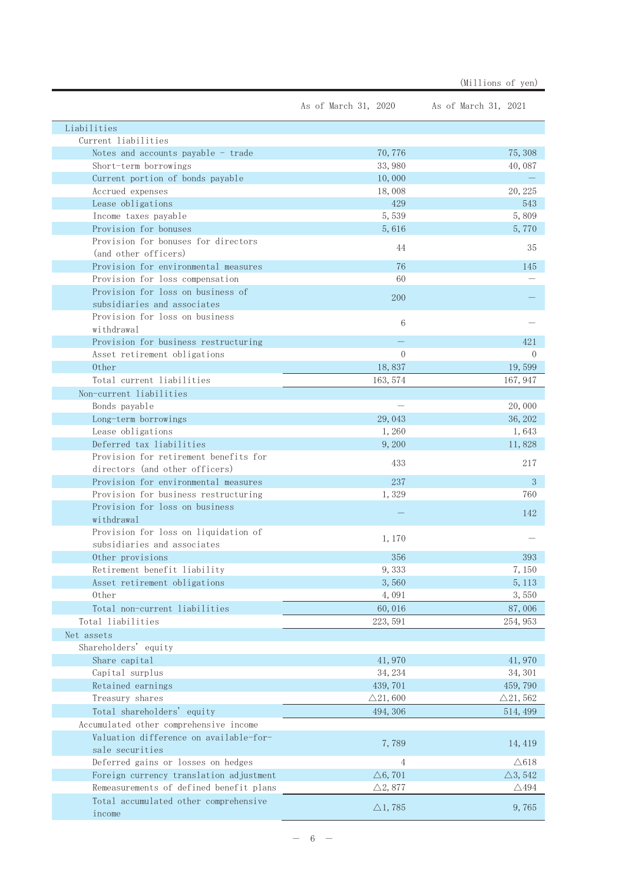|                                                                         | As of March 31, 2020 | As of March 31, 2021 |
|-------------------------------------------------------------------------|----------------------|----------------------|
| Liabilities                                                             |                      |                      |
| Current liabilities                                                     |                      |                      |
| Notes and accounts payable - trade                                      | 70,776               | 75, 308              |
| Short-term borrowings                                                   | 33,980               | 40,087               |
| Current portion of bonds payable                                        | 10,000               |                      |
| Accrued expenses                                                        | 18,008               | 20, 225              |
| Lease obligations                                                       | 429                  | 543                  |
| Income taxes payable                                                    | 5,539                | 5,809                |
| Provision for bonuses                                                   | 5,616                | 5,770                |
| Provision for bonuses for directors                                     | 44                   | 35                   |
| (and other officers)                                                    |                      |                      |
| Provision for environmental measures                                    | 76                   | 145                  |
| Provision for loss compensation                                         | 60                   |                      |
| Provision for loss on business of<br>subsidiaries and associates        | 200                  |                      |
| Provision for loss on business                                          |                      |                      |
| withdrawal                                                              | 6                    |                      |
| Provision for business restructuring                                    |                      | 421                  |
| Asset retirement obligations                                            | $\theta$             | $\Omega$             |
| 0ther                                                                   | 18,837               | 19,599               |
| Total current liabilities                                               | 163, 574             | 167, 947             |
| Non-current liabilities                                                 |                      |                      |
| Bonds payable                                                           |                      | 20,000               |
| Long-term borrowings                                                    | 29,043               | 36, 202              |
| Lease obligations                                                       | 1,260                | 1,643                |
| Deferred tax liabilities                                                | 9,200                | 11,828               |
| Provision for retirement benefits for<br>directors (and other officers) | 433                  | 217                  |
| Provision for environmental measures                                    | 237                  | 3                    |
| Provision for business restructuring                                    | 1,329                | 760                  |
| Provision for loss on business                                          |                      |                      |
| withdrawal                                                              |                      | 142                  |
| Provision for loss on liquidation of                                    | 1,170                |                      |
| subsidiaries and associates                                             |                      |                      |
| Other provisions                                                        | 356                  | 393                  |
| Retirement benefit liability                                            | 9,333                | 7,150                |
| Asset retirement obligations                                            | 3,560                | 5, 113               |
| Other                                                                   | 4,091                | 3,550                |
| Total non-current liabilities                                           | 60,016               | 87,006               |
| Total liabilities                                                       | 223, 591             | 254, 953             |
| Net assets                                                              |                      |                      |
| Shareholders' equity                                                    |                      |                      |
| Share capital                                                           | 41,970               | 41,970               |
| Capital surplus                                                         | 34, 234              | 34, 301              |
| Retained earnings                                                       | 439, 701             | 459,790              |
| Treasury shares                                                         | $\triangle$ 21,600   | $\triangle$ 21,562   |
| Total shareholders' equity                                              | 494, 306             | 514, 499             |
| Accumulated other comprehensive income                                  |                      |                      |
| Valuation difference on available-for-                                  | 7,789                | 14, 419              |
| sale securities                                                         |                      |                      |
| Deferred gains or losses on hedges                                      | 4                    | $\triangle$ 618      |
| Foreign currency translation adjustment                                 | $\triangle 6, 701$   | $\triangle$ 3, 542   |
| Remeasurements of defined benefit plans                                 | $\triangle 2,877$    | $\triangle$ 494      |
| Total accumulated other comprehensive<br>income                         | $\triangle$ 1, 785   | 9,765                |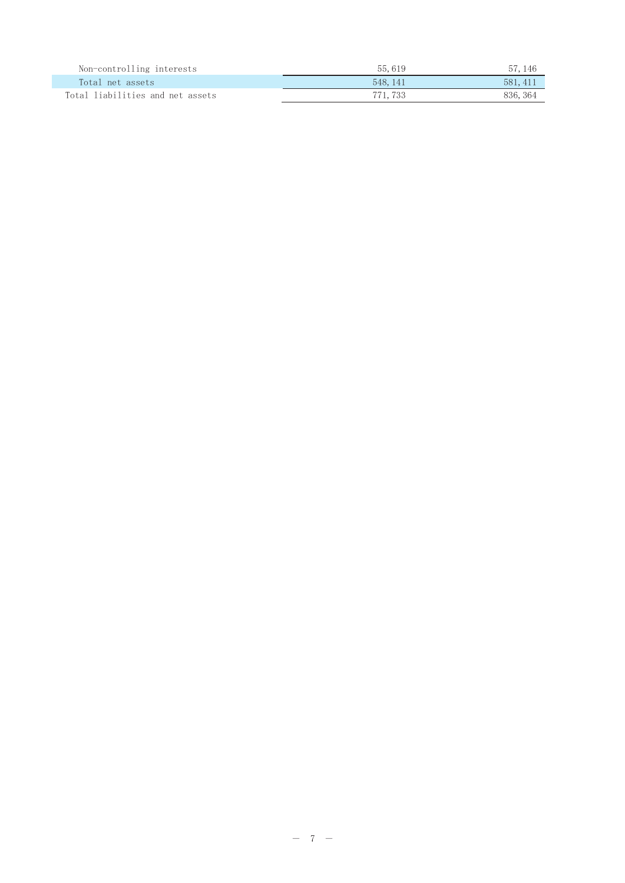| Non-controlling interests        | 55,619   | 57, 146  |
|----------------------------------|----------|----------|
| Total net assets                 | 548, 141 | 581, 411 |
| Total liabilities and net assets | 771, 733 | 836, 364 |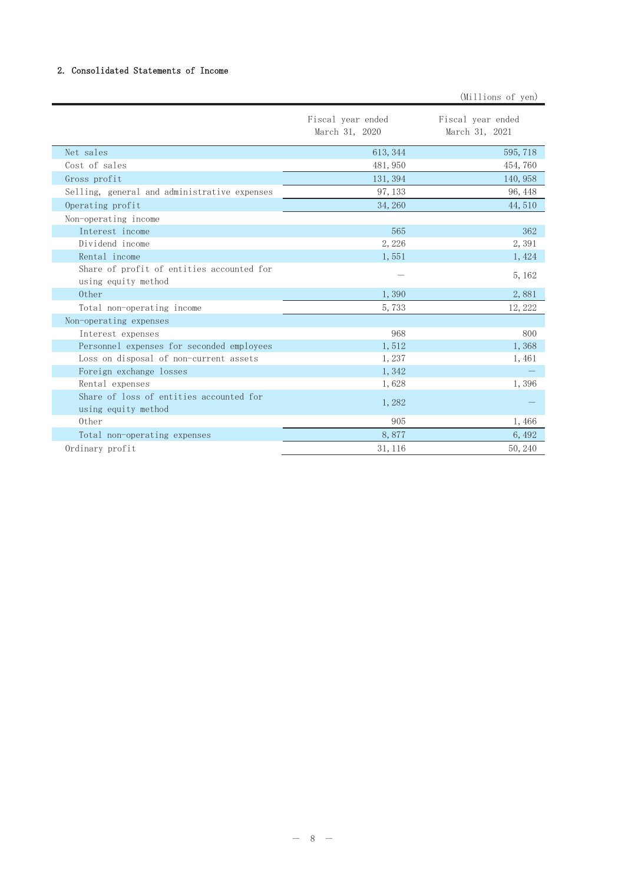## 2. Consolidated Statements of Income

|                                                                  |                                     | (Millions of yen)                   |
|------------------------------------------------------------------|-------------------------------------|-------------------------------------|
|                                                                  | Fiscal year ended<br>March 31, 2020 | Fiscal year ended<br>March 31, 2021 |
| Net sales                                                        | 613, 344                            | 595, 718                            |
| Cost of sales                                                    | 481, 950                            | 454,760                             |
| Gross profit                                                     | 131, 394                            | 140, 958                            |
| Selling, general and administrative expenses                     | 97, 133                             | 96, 448                             |
| Operating profit                                                 | 34, 260                             | 44,510                              |
| Non-operating income                                             |                                     |                                     |
| Interest income                                                  | 565                                 | 362                                 |
| Dividend income                                                  | 2,226                               | 2,391                               |
| Rental income                                                    | 1,551                               | 1,424                               |
| Share of profit of entities accounted for<br>using equity method |                                     | 5, 162                              |
| Other                                                            | 1,390                               | 2,881                               |
| Total non-operating income                                       | 5,733                               | 12, 222                             |
| Non-operating expenses                                           |                                     |                                     |
| Interest expenses                                                | 968                                 | 800                                 |
| Personnel expenses for seconded employees                        | 1,512                               | 1,368                               |
| Loss on disposal of non-current assets                           | 1,237                               | 1,461                               |
| Foreign exchange losses                                          | 1,342                               |                                     |
| Rental expenses                                                  | 1,628                               | 1,396                               |
| Share of loss of entities accounted for<br>using equity method   | 1,282                               |                                     |
| Other                                                            | 905                                 | 1,466                               |
| Total non-operating expenses                                     | 8,877                               | 6,492                               |
| Ordinary profit                                                  | 31, 116                             | 50, 240                             |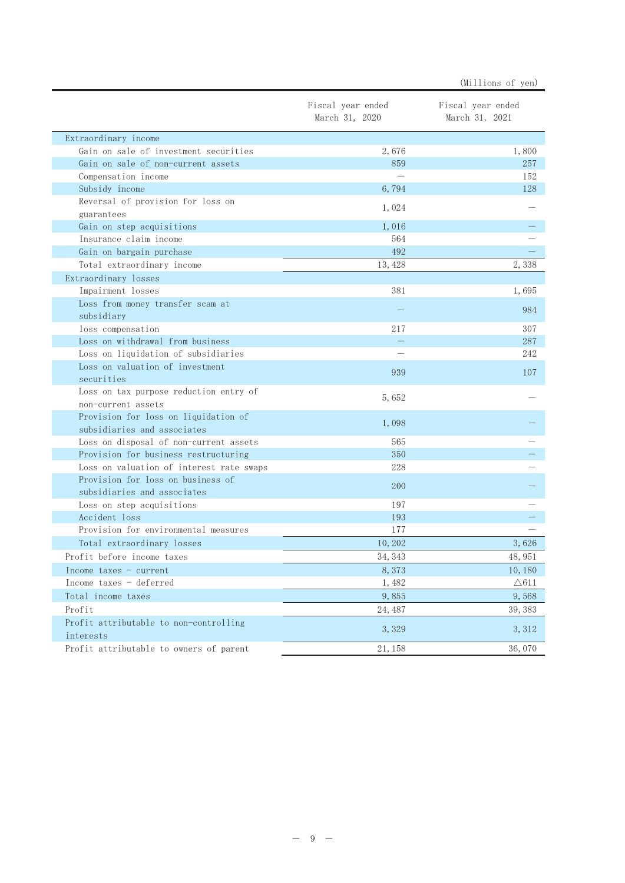| Fiscal year ended<br>Fiscal year ended<br>March 31, 2020<br>March 31, 2021<br>Extraordinary income<br>Gain on sale of investment securities<br>2,676<br>1,800<br>Gain on sale of non-current assets<br>859<br>257<br>Compensation income<br>152<br>6,794<br>128<br>Subsidy income<br>Reversal of provision for loss on<br>1,024<br>guarantees<br>1,016<br>Gain on step acquisitions<br>Insurance claim income<br>564<br>492<br>Gain on bargain purchase<br>2,338<br>Total extraordinary income<br>13, 428<br>Extraordinary losses<br>381<br>Impairment losses<br>1,695<br>Loss from money transfer scam at<br>984<br>subsidiary<br>loss compensation<br>217<br>307<br>287<br>Loss on withdrawal from business<br>Loss on liquidation of subsidiaries<br>242<br>Loss on valuation of investment<br>939<br>107<br>securities<br>Loss on tax purpose reduction entry of<br>5,652<br>non-current assets<br>Provision for loss on liquidation of<br>1,098<br>subsidiaries and associates<br>Loss on disposal of non-current assets<br>565<br>350<br>Provision for business restructuring<br>228<br>Loss on valuation of interest rate swaps<br>Provision for loss on business of<br>200<br>subsidiaries and associates<br>Loss on step acquisitions<br>197<br>Accident loss<br>193<br>Provision for environmental measures<br>177<br>Total extraordinary losses<br>10,202<br>3,626<br>34, 343<br>48, 951<br>Profit before income taxes<br>8,373<br>Income taxes $-$ current<br>10, 180<br>Income taxes - deferred<br>$\triangle$ 611<br>1,482<br>9,855<br>Total income taxes<br>9,568<br>Profit<br>24, 487<br>39, 383<br>Profit attributable to non-controlling<br>3,329<br>3, 312<br>interests |                                         |         | (Millions of yen) |
|--------------------------------------------------------------------------------------------------------------------------------------------------------------------------------------------------------------------------------------------------------------------------------------------------------------------------------------------------------------------------------------------------------------------------------------------------------------------------------------------------------------------------------------------------------------------------------------------------------------------------------------------------------------------------------------------------------------------------------------------------------------------------------------------------------------------------------------------------------------------------------------------------------------------------------------------------------------------------------------------------------------------------------------------------------------------------------------------------------------------------------------------------------------------------------------------------------------------------------------------------------------------------------------------------------------------------------------------------------------------------------------------------------------------------------------------------------------------------------------------------------------------------------------------------------------------------------------------------------------------------------------------------------------------------------------------|-----------------------------------------|---------|-------------------|
|                                                                                                                                                                                                                                                                                                                                                                                                                                                                                                                                                                                                                                                                                                                                                                                                                                                                                                                                                                                                                                                                                                                                                                                                                                                                                                                                                                                                                                                                                                                                                                                                                                                                                            |                                         |         |                   |
|                                                                                                                                                                                                                                                                                                                                                                                                                                                                                                                                                                                                                                                                                                                                                                                                                                                                                                                                                                                                                                                                                                                                                                                                                                                                                                                                                                                                                                                                                                                                                                                                                                                                                            |                                         |         |                   |
|                                                                                                                                                                                                                                                                                                                                                                                                                                                                                                                                                                                                                                                                                                                                                                                                                                                                                                                                                                                                                                                                                                                                                                                                                                                                                                                                                                                                                                                                                                                                                                                                                                                                                            |                                         |         |                   |
|                                                                                                                                                                                                                                                                                                                                                                                                                                                                                                                                                                                                                                                                                                                                                                                                                                                                                                                                                                                                                                                                                                                                                                                                                                                                                                                                                                                                                                                                                                                                                                                                                                                                                            |                                         |         |                   |
|                                                                                                                                                                                                                                                                                                                                                                                                                                                                                                                                                                                                                                                                                                                                                                                                                                                                                                                                                                                                                                                                                                                                                                                                                                                                                                                                                                                                                                                                                                                                                                                                                                                                                            |                                         |         |                   |
|                                                                                                                                                                                                                                                                                                                                                                                                                                                                                                                                                                                                                                                                                                                                                                                                                                                                                                                                                                                                                                                                                                                                                                                                                                                                                                                                                                                                                                                                                                                                                                                                                                                                                            |                                         |         |                   |
|                                                                                                                                                                                                                                                                                                                                                                                                                                                                                                                                                                                                                                                                                                                                                                                                                                                                                                                                                                                                                                                                                                                                                                                                                                                                                                                                                                                                                                                                                                                                                                                                                                                                                            |                                         |         |                   |
|                                                                                                                                                                                                                                                                                                                                                                                                                                                                                                                                                                                                                                                                                                                                                                                                                                                                                                                                                                                                                                                                                                                                                                                                                                                                                                                                                                                                                                                                                                                                                                                                                                                                                            |                                         |         |                   |
|                                                                                                                                                                                                                                                                                                                                                                                                                                                                                                                                                                                                                                                                                                                                                                                                                                                                                                                                                                                                                                                                                                                                                                                                                                                                                                                                                                                                                                                                                                                                                                                                                                                                                            |                                         |         |                   |
|                                                                                                                                                                                                                                                                                                                                                                                                                                                                                                                                                                                                                                                                                                                                                                                                                                                                                                                                                                                                                                                                                                                                                                                                                                                                                                                                                                                                                                                                                                                                                                                                                                                                                            |                                         |         |                   |
|                                                                                                                                                                                                                                                                                                                                                                                                                                                                                                                                                                                                                                                                                                                                                                                                                                                                                                                                                                                                                                                                                                                                                                                                                                                                                                                                                                                                                                                                                                                                                                                                                                                                                            |                                         |         |                   |
|                                                                                                                                                                                                                                                                                                                                                                                                                                                                                                                                                                                                                                                                                                                                                                                                                                                                                                                                                                                                                                                                                                                                                                                                                                                                                                                                                                                                                                                                                                                                                                                                                                                                                            |                                         |         |                   |
|                                                                                                                                                                                                                                                                                                                                                                                                                                                                                                                                                                                                                                                                                                                                                                                                                                                                                                                                                                                                                                                                                                                                                                                                                                                                                                                                                                                                                                                                                                                                                                                                                                                                                            |                                         |         |                   |
|                                                                                                                                                                                                                                                                                                                                                                                                                                                                                                                                                                                                                                                                                                                                                                                                                                                                                                                                                                                                                                                                                                                                                                                                                                                                                                                                                                                                                                                                                                                                                                                                                                                                                            |                                         |         |                   |
|                                                                                                                                                                                                                                                                                                                                                                                                                                                                                                                                                                                                                                                                                                                                                                                                                                                                                                                                                                                                                                                                                                                                                                                                                                                                                                                                                                                                                                                                                                                                                                                                                                                                                            |                                         |         |                   |
|                                                                                                                                                                                                                                                                                                                                                                                                                                                                                                                                                                                                                                                                                                                                                                                                                                                                                                                                                                                                                                                                                                                                                                                                                                                                                                                                                                                                                                                                                                                                                                                                                                                                                            |                                         |         |                   |
|                                                                                                                                                                                                                                                                                                                                                                                                                                                                                                                                                                                                                                                                                                                                                                                                                                                                                                                                                                                                                                                                                                                                                                                                                                                                                                                                                                                                                                                                                                                                                                                                                                                                                            |                                         |         |                   |
|                                                                                                                                                                                                                                                                                                                                                                                                                                                                                                                                                                                                                                                                                                                                                                                                                                                                                                                                                                                                                                                                                                                                                                                                                                                                                                                                                                                                                                                                                                                                                                                                                                                                                            |                                         |         |                   |
|                                                                                                                                                                                                                                                                                                                                                                                                                                                                                                                                                                                                                                                                                                                                                                                                                                                                                                                                                                                                                                                                                                                                                                                                                                                                                                                                                                                                                                                                                                                                                                                                                                                                                            |                                         |         |                   |
|                                                                                                                                                                                                                                                                                                                                                                                                                                                                                                                                                                                                                                                                                                                                                                                                                                                                                                                                                                                                                                                                                                                                                                                                                                                                                                                                                                                                                                                                                                                                                                                                                                                                                            |                                         |         |                   |
|                                                                                                                                                                                                                                                                                                                                                                                                                                                                                                                                                                                                                                                                                                                                                                                                                                                                                                                                                                                                                                                                                                                                                                                                                                                                                                                                                                                                                                                                                                                                                                                                                                                                                            |                                         |         |                   |
|                                                                                                                                                                                                                                                                                                                                                                                                                                                                                                                                                                                                                                                                                                                                                                                                                                                                                                                                                                                                                                                                                                                                                                                                                                                                                                                                                                                                                                                                                                                                                                                                                                                                                            |                                         |         |                   |
|                                                                                                                                                                                                                                                                                                                                                                                                                                                                                                                                                                                                                                                                                                                                                                                                                                                                                                                                                                                                                                                                                                                                                                                                                                                                                                                                                                                                                                                                                                                                                                                                                                                                                            |                                         |         |                   |
|                                                                                                                                                                                                                                                                                                                                                                                                                                                                                                                                                                                                                                                                                                                                                                                                                                                                                                                                                                                                                                                                                                                                                                                                                                                                                                                                                                                                                                                                                                                                                                                                                                                                                            |                                         |         |                   |
|                                                                                                                                                                                                                                                                                                                                                                                                                                                                                                                                                                                                                                                                                                                                                                                                                                                                                                                                                                                                                                                                                                                                                                                                                                                                                                                                                                                                                                                                                                                                                                                                                                                                                            |                                         |         |                   |
|                                                                                                                                                                                                                                                                                                                                                                                                                                                                                                                                                                                                                                                                                                                                                                                                                                                                                                                                                                                                                                                                                                                                                                                                                                                                                                                                                                                                                                                                                                                                                                                                                                                                                            |                                         |         |                   |
|                                                                                                                                                                                                                                                                                                                                                                                                                                                                                                                                                                                                                                                                                                                                                                                                                                                                                                                                                                                                                                                                                                                                                                                                                                                                                                                                                                                                                                                                                                                                                                                                                                                                                            |                                         |         |                   |
|                                                                                                                                                                                                                                                                                                                                                                                                                                                                                                                                                                                                                                                                                                                                                                                                                                                                                                                                                                                                                                                                                                                                                                                                                                                                                                                                                                                                                                                                                                                                                                                                                                                                                            |                                         |         |                   |
|                                                                                                                                                                                                                                                                                                                                                                                                                                                                                                                                                                                                                                                                                                                                                                                                                                                                                                                                                                                                                                                                                                                                                                                                                                                                                                                                                                                                                                                                                                                                                                                                                                                                                            |                                         |         |                   |
|                                                                                                                                                                                                                                                                                                                                                                                                                                                                                                                                                                                                                                                                                                                                                                                                                                                                                                                                                                                                                                                                                                                                                                                                                                                                                                                                                                                                                                                                                                                                                                                                                                                                                            |                                         |         |                   |
|                                                                                                                                                                                                                                                                                                                                                                                                                                                                                                                                                                                                                                                                                                                                                                                                                                                                                                                                                                                                                                                                                                                                                                                                                                                                                                                                                                                                                                                                                                                                                                                                                                                                                            |                                         |         |                   |
|                                                                                                                                                                                                                                                                                                                                                                                                                                                                                                                                                                                                                                                                                                                                                                                                                                                                                                                                                                                                                                                                                                                                                                                                                                                                                                                                                                                                                                                                                                                                                                                                                                                                                            |                                         |         |                   |
|                                                                                                                                                                                                                                                                                                                                                                                                                                                                                                                                                                                                                                                                                                                                                                                                                                                                                                                                                                                                                                                                                                                                                                                                                                                                                                                                                                                                                                                                                                                                                                                                                                                                                            |                                         |         |                   |
|                                                                                                                                                                                                                                                                                                                                                                                                                                                                                                                                                                                                                                                                                                                                                                                                                                                                                                                                                                                                                                                                                                                                                                                                                                                                                                                                                                                                                                                                                                                                                                                                                                                                                            |                                         |         |                   |
|                                                                                                                                                                                                                                                                                                                                                                                                                                                                                                                                                                                                                                                                                                                                                                                                                                                                                                                                                                                                                                                                                                                                                                                                                                                                                                                                                                                                                                                                                                                                                                                                                                                                                            |                                         |         |                   |
|                                                                                                                                                                                                                                                                                                                                                                                                                                                                                                                                                                                                                                                                                                                                                                                                                                                                                                                                                                                                                                                                                                                                                                                                                                                                                                                                                                                                                                                                                                                                                                                                                                                                                            |                                         |         |                   |
|                                                                                                                                                                                                                                                                                                                                                                                                                                                                                                                                                                                                                                                                                                                                                                                                                                                                                                                                                                                                                                                                                                                                                                                                                                                                                                                                                                                                                                                                                                                                                                                                                                                                                            |                                         |         |                   |
|                                                                                                                                                                                                                                                                                                                                                                                                                                                                                                                                                                                                                                                                                                                                                                                                                                                                                                                                                                                                                                                                                                                                                                                                                                                                                                                                                                                                                                                                                                                                                                                                                                                                                            |                                         |         |                   |
|                                                                                                                                                                                                                                                                                                                                                                                                                                                                                                                                                                                                                                                                                                                                                                                                                                                                                                                                                                                                                                                                                                                                                                                                                                                                                                                                                                                                                                                                                                                                                                                                                                                                                            |                                         |         |                   |
|                                                                                                                                                                                                                                                                                                                                                                                                                                                                                                                                                                                                                                                                                                                                                                                                                                                                                                                                                                                                                                                                                                                                                                                                                                                                                                                                                                                                                                                                                                                                                                                                                                                                                            |                                         |         |                   |
|                                                                                                                                                                                                                                                                                                                                                                                                                                                                                                                                                                                                                                                                                                                                                                                                                                                                                                                                                                                                                                                                                                                                                                                                                                                                                                                                                                                                                                                                                                                                                                                                                                                                                            | Profit attributable to owners of parent | 21, 158 | 36,070            |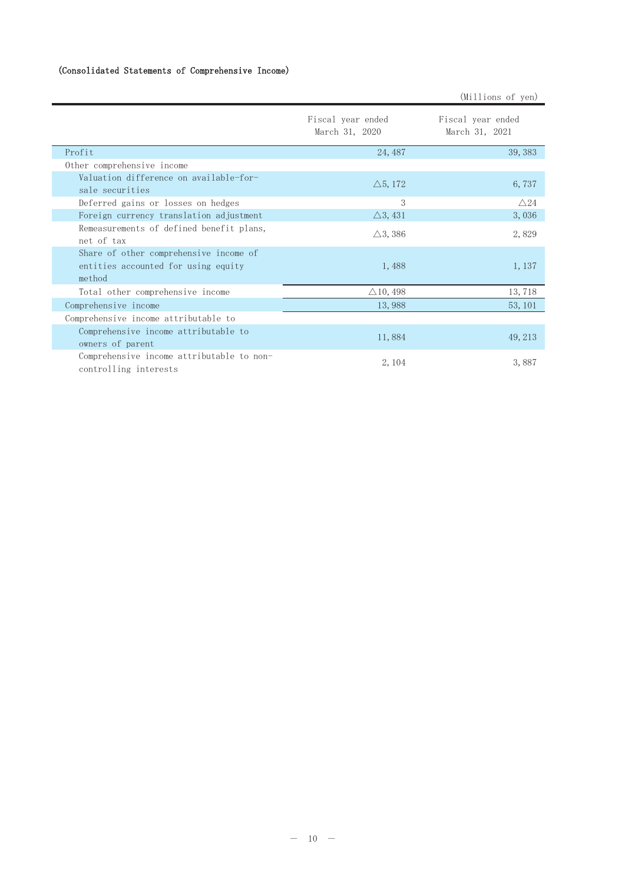## (Consolidated Statements of Comprehensive Income)

|                                                                                         |                                     | (Millions of yen)                   |
|-----------------------------------------------------------------------------------------|-------------------------------------|-------------------------------------|
|                                                                                         | Fiscal year ended<br>March 31, 2020 | Fiscal year ended<br>March 31, 2021 |
| Profit                                                                                  | 24, 487                             | 39, 383                             |
| Other comprehensive income                                                              |                                     |                                     |
| Valuation difference on available-for-<br>sale securities                               | $\triangle$ 5, 172                  | 6,737                               |
| Deferred gains or losses on hedges                                                      | 3                                   | $\triangle 24$                      |
| Foreign currency translation adjustment                                                 | $\triangle$ 3, 431                  | 3,036                               |
| Remeasurements of defined benefit plans,<br>net of tax                                  | $\triangle$ 3, 386                  | 2,829                               |
| Share of other comprehensive income of<br>entities accounted for using equity<br>method | 1,488                               | 1, 137                              |
| Total other comprehensive income                                                        | $\triangle$ 10, 498                 | 13,718                              |
| Comprehensive income                                                                    | 13,988                              | 53, 101                             |
| Comprehensive income attributable to                                                    |                                     |                                     |
| Comprehensive income attributable to<br>owners of parent                                | 11,884                              | 49, 213                             |
| Comprehensive income attributable to non-<br>controlling interests                      | 2, 104                              | 3,887                               |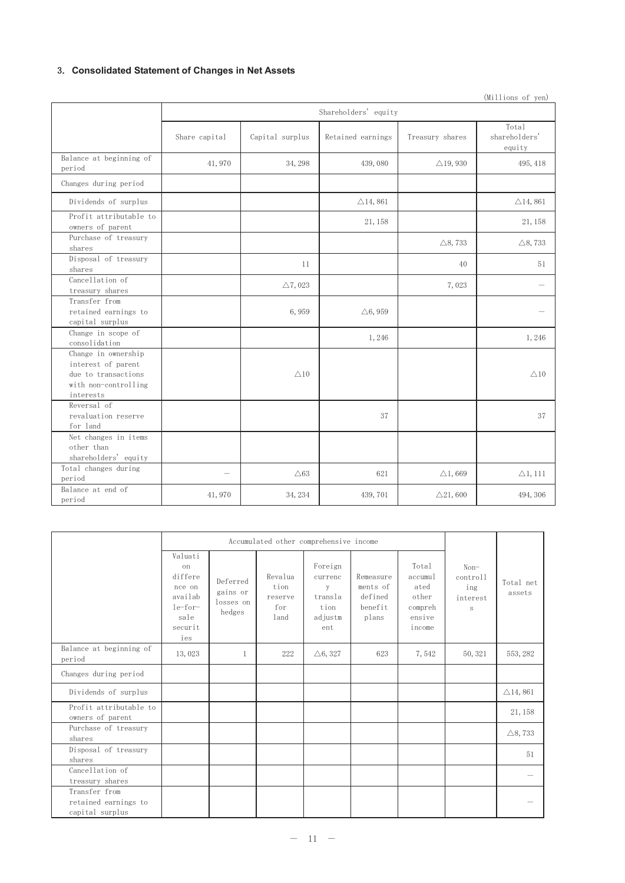# 3. Consolidated Statement of Changes in Net Assets

|                                                                                                       |                          |                   |                     |                    | (Millions of yen)                |  |  |  |
|-------------------------------------------------------------------------------------------------------|--------------------------|-------------------|---------------------|--------------------|----------------------------------|--|--|--|
|                                                                                                       | Shareholders' equity     |                   |                     |                    |                                  |  |  |  |
|                                                                                                       | Share capital            | Capital surplus   | Retained earnings   | Treasury shares    | Total<br>shareholders'<br>equity |  |  |  |
| Balance at beginning of<br>period                                                                     | 41,970                   | 34, 298           | 439,080             | $\triangle$ 19,930 | 495, 418                         |  |  |  |
| Changes during period                                                                                 |                          |                   |                     |                    |                                  |  |  |  |
| Dividends of surplus                                                                                  |                          |                   | $\triangle$ 14, 861 |                    | $\triangle$ 14, 861              |  |  |  |
| Profit attributable to<br>owners of parent                                                            |                          |                   | 21, 158             |                    | 21, 158                          |  |  |  |
| Purchase of treasury<br>shares                                                                        |                          |                   |                     | $\triangle$ 8,733  | $\triangle$ 8, 733               |  |  |  |
| Disposal of treasury<br>shares                                                                        |                          | 11                |                     | 40                 | 51                               |  |  |  |
| Cancellation of<br>treasury shares                                                                    |                          | $\triangle$ 7,023 |                     | 7,023              |                                  |  |  |  |
| Transfer from<br>retained earnings to<br>capital surplus                                              |                          | 6,959             | $\triangle 6,959$   |                    |                                  |  |  |  |
| Change in scope of<br>consolidation                                                                   |                          |                   | 1,246               |                    | 1,246                            |  |  |  |
| Change in ownership<br>interest of parent<br>due to transactions<br>with non-controlling<br>interests |                          | $\triangle$ 10    |                     |                    | $\triangle$ 10                   |  |  |  |
| Reversal of<br>revaluation reserve<br>for land                                                        |                          |                   | 37                  |                    | 37                               |  |  |  |
| Net changes in items<br>other than<br>shareholders' equity                                            |                          |                   |                     |                    |                                  |  |  |  |
| Total changes during<br>period                                                                        | $\overline{\phantom{0}}$ | $\triangle 63$    | 621                 | $\triangle$ 1,669  | $\triangle 1, 111$               |  |  |  |
| Balance at end of<br>period                                                                           | 41,970                   | 34, 234           | 439, 701            | $\triangle$ 21,600 | 494, 306                         |  |  |  |

|                                                          | Accumulated other comprehensive income                                               |                                             |                                           |                                                              |                                                      |                                                                  |                                            |                     |
|----------------------------------------------------------|--------------------------------------------------------------------------------------|---------------------------------------------|-------------------------------------------|--------------------------------------------------------------|------------------------------------------------------|------------------------------------------------------------------|--------------------------------------------|---------------------|
|                                                          | Valuati<br>on<br>differe<br>nce on<br>availab<br>$le-for-$<br>sale<br>securit<br>ies | Deferred<br>gains or<br>losses on<br>hedges | Revalua<br>tion<br>reserve<br>for<br>land | Foreign<br>currenc<br>V<br>transla<br>tion<br>adjustm<br>ent | Remeasure<br>ments of<br>defined<br>benefit<br>plans | Total<br>accumul<br>ated<br>other<br>compreh<br>ensive<br>income | $Non-$<br>controll<br>ing<br>interest<br>S | Total net<br>assets |
| Balance at beginning of<br>period                        | 13,023                                                                               | 1                                           | 222                                       | $\triangle 6, 327$                                           | 623                                                  | 7,542                                                            | 50, 321                                    | 553, 282            |
| Changes during period                                    |                                                                                      |                                             |                                           |                                                              |                                                      |                                                                  |                                            |                     |
| Dividends of surplus                                     |                                                                                      |                                             |                                           |                                                              |                                                      |                                                                  |                                            | $\triangle$ 14,861  |
| Profit attributable to<br>owners of parent               |                                                                                      |                                             |                                           |                                                              |                                                      |                                                                  |                                            | 21, 158             |
| Purchase of treasury<br>shares                           |                                                                                      |                                             |                                           |                                                              |                                                      |                                                                  |                                            | $\triangle$ 8, 733  |
| Disposal of treasury<br>shares                           |                                                                                      |                                             |                                           |                                                              |                                                      |                                                                  |                                            | 51                  |
| Cancellation of<br>treasury shares                       |                                                                                      |                                             |                                           |                                                              |                                                      |                                                                  |                                            |                     |
| Transfer from<br>retained earnings to<br>capital surplus |                                                                                      |                                             |                                           |                                                              |                                                      |                                                                  |                                            |                     |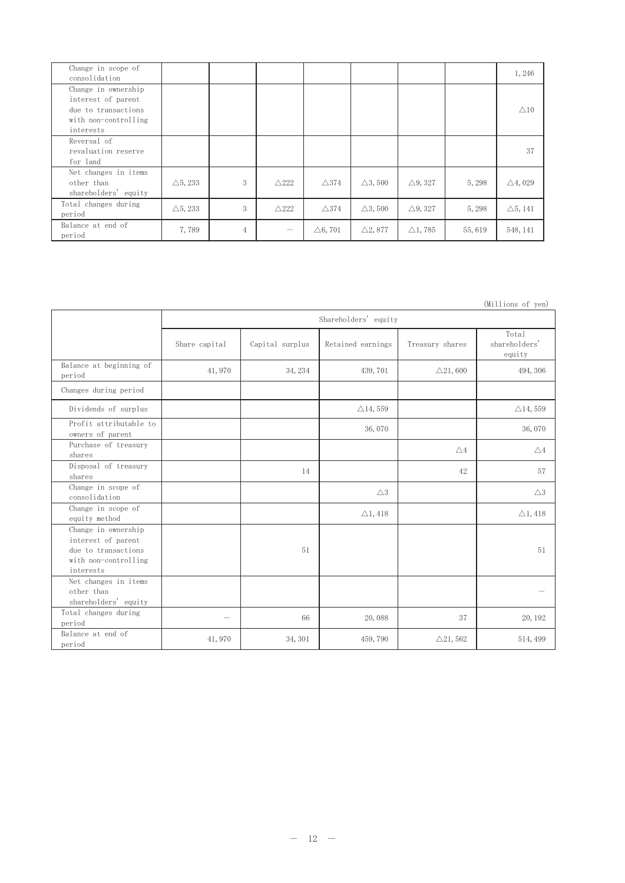| Change in scope of<br>consolidation                                                                   |                    |                |                 |                    |                    |                    |        | 1,246              |
|-------------------------------------------------------------------------------------------------------|--------------------|----------------|-----------------|--------------------|--------------------|--------------------|--------|--------------------|
| Change in ownership<br>interest of parent<br>due to transactions<br>with non-controlling<br>interests |                    |                |                 |                    |                    |                    |        | $\triangle$ 10     |
| Reversal of<br>revaluation reserve<br>for land                                                        |                    |                |                 |                    |                    |                    |        | 37                 |
| Net changes in items<br>other than<br>shareholders' equity                                            | $\triangle 5, 233$ | 3              | $\triangle$ 222 | $\triangle$ 374    | $\triangle$ 3,500  | $\triangle$ 9, 327 | 5, 298 | $\triangle$ 4, 029 |
| Total changes during<br>period                                                                        | $\triangle 5, 233$ | 3              | $\triangle$ 222 | $\triangle$ 374    | $\triangle$ 3,500  | $\triangle$ 9, 327 | 5, 298 | $\triangle 5, 141$ |
| Balance at end of<br>period                                                                           | 7,789              | $\overline{4}$ |                 | $\triangle 6, 701$ | $\triangle$ 2, 877 | $\triangle$ 1,785  | 55,619 | 548, 141           |

|                                                                                                       |                      |                 |                     |                     | /wittions of Agn)                |  |  |  |
|-------------------------------------------------------------------------------------------------------|----------------------|-----------------|---------------------|---------------------|----------------------------------|--|--|--|
|                                                                                                       | Shareholders' equity |                 |                     |                     |                                  |  |  |  |
|                                                                                                       | Share capital        | Capital surplus | Retained earnings   | Treasury shares     | Total<br>shareholders'<br>equity |  |  |  |
| Balance at beginning of<br>period                                                                     | 41,970               | 34, 234         | 439,701             | $\triangle$ 21,600  | 494, 306                         |  |  |  |
| Changes during period                                                                                 |                      |                 |                     |                     |                                  |  |  |  |
| Dividends of surplus                                                                                  |                      |                 | $\triangle$ 14, 559 |                     | $\triangle$ 14, 559              |  |  |  |
| Profit attributable to<br>owners of parent                                                            |                      |                 | 36,070              |                     | 36,070                           |  |  |  |
| Purchase of treasury<br>shares                                                                        |                      |                 |                     | $\triangle$ 4       | $\triangle 4$                    |  |  |  |
| Disposal of treasury<br>shares                                                                        |                      | 14              |                     | 42                  | 57                               |  |  |  |
| Change in scope of<br>consolidation                                                                   |                      |                 | $\triangle 3$       |                     | $\triangle 3$                    |  |  |  |
| Change in scope of<br>equity method                                                                   |                      |                 | $\triangle$ 1, 418  |                     | $\triangle$ 1, 418               |  |  |  |
| Change in ownership<br>interest of parent<br>due to transactions<br>with non-controlling<br>interests |                      | 51              |                     |                     | 51                               |  |  |  |
| Net changes in items<br>other than<br>shareholders' equity                                            |                      |                 |                     |                     |                                  |  |  |  |
| Total changes during<br>period                                                                        |                      | 66              | 20,088              | 37                  | 20, 192                          |  |  |  |
| Balance at end of<br>period                                                                           | 41,970               | 34, 301         | 459,790             | $\triangle$ 21, 562 | 514, 499                         |  |  |  |

 $(Millins$  of  $ven)$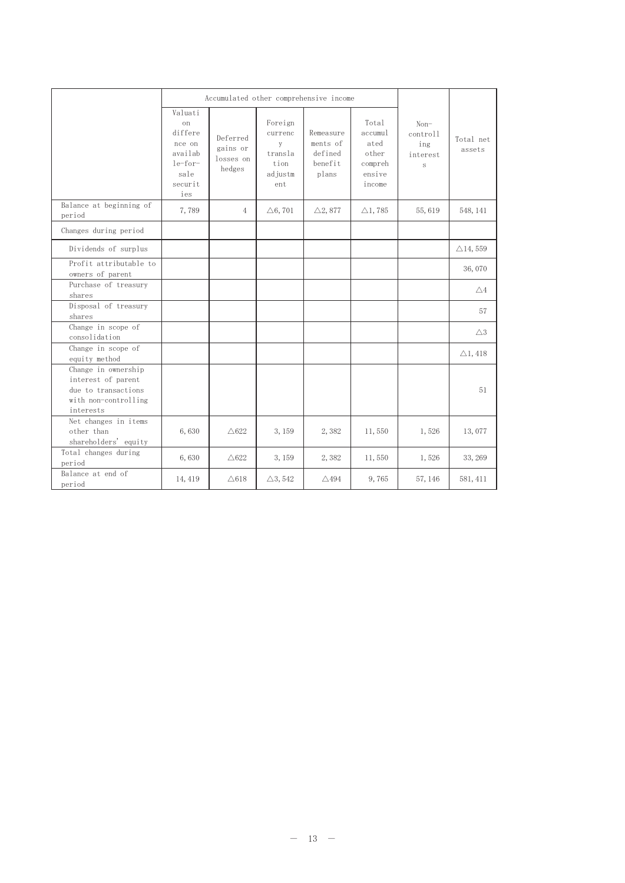|                                                                                                       |                                                                                      | Accumulated other comprehensive income      |                                                                       |                                                      |                                                                  |                                                       |                     |
|-------------------------------------------------------------------------------------------------------|--------------------------------------------------------------------------------------|---------------------------------------------|-----------------------------------------------------------------------|------------------------------------------------------|------------------------------------------------------------------|-------------------------------------------------------|---------------------|
|                                                                                                       | Valuati<br>on<br>differe<br>nce on<br>availab<br>$le-for-$<br>sale<br>securit<br>ies | Deferred<br>gains or<br>losses on<br>hedges | Foreign<br>currenc<br>$_{\rm V}$<br>transla<br>tion<br>adjustm<br>ent | Remeasure<br>ments of<br>defined<br>benefit<br>plans | Total<br>accumul<br>ated<br>other<br>compreh<br>ensive<br>income | $Non-$<br>controll<br>ing<br>interest<br>$\mathbf{s}$ | Total net<br>assets |
| Balance at beginning of<br>period                                                                     | 7,789                                                                                | $\overline{4}$                              | $\triangle 6, 701$                                                    | $\triangle 2,877$                                    | $\triangle$ 1,785                                                | 55,619                                                | 548, 141            |
| Changes during period                                                                                 |                                                                                      |                                             |                                                                       |                                                      |                                                                  |                                                       |                     |
| Dividends of surplus                                                                                  |                                                                                      |                                             |                                                                       |                                                      |                                                                  |                                                       | $\triangle$ 14, 559 |
| Profit attributable to<br>owners of parent                                                            |                                                                                      |                                             |                                                                       |                                                      |                                                                  |                                                       | 36,070              |
| Purchase of treasury<br>shares                                                                        |                                                                                      |                                             |                                                                       |                                                      |                                                                  |                                                       | $\triangle 4$       |
| Disposal of treasury<br>shares                                                                        |                                                                                      |                                             |                                                                       |                                                      |                                                                  |                                                       | 57                  |
| Change in scope of<br>consolidation                                                                   |                                                                                      |                                             |                                                                       |                                                      |                                                                  |                                                       | $\triangle 3$       |
| Change in scope of<br>equity method                                                                   |                                                                                      |                                             |                                                                       |                                                      |                                                                  |                                                       | $\triangle$ 1, 418  |
| Change in ownership<br>interest of parent<br>due to transactions<br>with non-controlling<br>interests |                                                                                      |                                             |                                                                       |                                                      |                                                                  |                                                       | 51                  |
| Net changes in items<br>other than<br>shareholders' equity                                            | 6,630                                                                                | $\triangle 622$                             | 3,159                                                                 | 2,382                                                | 11,550                                                           | 1,526                                                 | 13,077              |
| Total changes during<br>period                                                                        | 6,630                                                                                | $\triangle 622$                             | 3, 159                                                                | 2,382                                                | 11,550                                                           | 1,526                                                 | 33, 269             |
| Balance at end of<br>period                                                                           | 14, 419                                                                              | $\triangle$ 618                             | $\triangle$ 3, 542                                                    | $\triangle$ 494                                      | 9,765                                                            | 57, 146                                               | 581, 411            |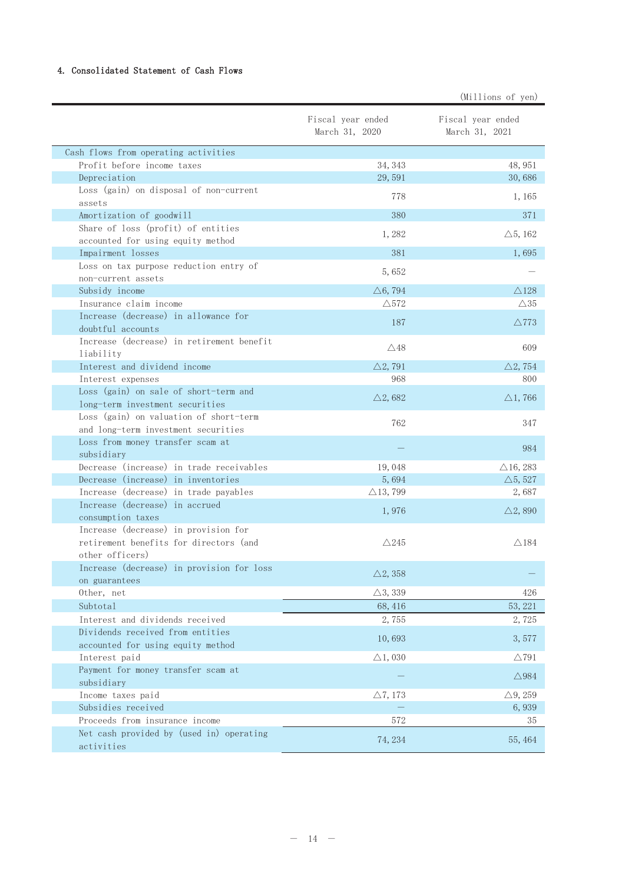## 4. Consolidated Statement of Cash Flows

|                                                           |                                     | (Millions of yen)                   |
|-----------------------------------------------------------|-------------------------------------|-------------------------------------|
|                                                           | Fiscal year ended<br>March 31, 2020 | Fiscal year ended<br>March 31, 2021 |
| Cash flows from operating activities                      |                                     |                                     |
| Profit before income taxes                                | 34, 343                             | 48, 951                             |
| Depreciation                                              | 29, 591                             | 30,686                              |
| Loss (gain) on disposal of non-current                    | 778                                 | 1,165                               |
| assets                                                    |                                     |                                     |
| Amortization of goodwill                                  | 380                                 | 371                                 |
| Share of loss (profit) of entities                        | 1,282                               | $\triangle$ 5, 162                  |
| accounted for using equity method                         |                                     |                                     |
| Impairment losses                                         | 381                                 | 1,695                               |
| Loss on tax purpose reduction entry of                    | 5,652                               |                                     |
| non-current assets                                        |                                     |                                     |
| Subsidy income                                            | $\triangle 6, 794$                  | $\triangle$ 128                     |
| Insurance claim income                                    | $\triangle$ 572                     | $\triangle 35$                      |
| Increase (decrease) in allowance for<br>doubtful accounts | 187                                 | $\triangle$ 773                     |
| Increase (decrease) in retirement benefit<br>liability    | $\triangle$ 48                      | 609                                 |
| Interest and dividend income                              | $\triangle$ 2, 791                  | $\triangle$ 2, 754                  |
| Interest expenses                                         | 968                                 | 800                                 |
| Loss (gain) on sale of short-term and                     | $\triangle$ 2, 682                  | $\triangle$ 1,766                   |
| long-term investment securities                           |                                     |                                     |
| Loss (gain) on valuation of short-term                    | 762                                 | 347                                 |
| and long-term investment securities                       |                                     |                                     |
| Loss from money transfer scam at<br>subsidiary            |                                     | 984                                 |
| Decrease (increase) in trade receivables                  | 19,048                              | $\triangle$ 16, 283                 |
| Decrease (increase) in inventories                        | 5,694                               | $\triangle$ 5, 527                  |
| Increase (decrease) in trade payables                     | $\triangle$ 13, 799                 | 2,687                               |
| Increase (decrease) in accrued                            |                                     |                                     |
| consumption taxes                                         | 1,976                               | $\triangle$ 2, 890                  |
| Increase (decrease) in provision for                      |                                     |                                     |
| retirement benefits for directors (and                    | $\triangle$ 245                     | $\triangle$ 184                     |
| other officers)                                           |                                     |                                     |
| Increase (decrease) in provision for loss                 | $\triangle 2, 358$                  |                                     |
| on guarantees                                             |                                     |                                     |
| Other, net                                                | $\triangle$ 3, 339                  | 426                                 |
| Subtotal                                                  | 68,416                              | 53, 221                             |
| Interest and dividends received                           | 2,755                               | 2,725                               |
| Dividends received from entities                          | 10,693                              | 3,577                               |
| accounted for using equity method                         |                                     |                                     |
| Interest paid                                             | $\triangle$ 1,030                   | $\triangle$ 791                     |
| Payment for money transfer scam at<br>subsidiary          |                                     | $\triangle$ 984                     |
| Income taxes paid                                         | $\triangle 7, 173$                  | $\triangle$ 9, 259                  |
| Subsidies received                                        |                                     | 6,939                               |
| Proceeds from insurance income                            | 572                                 | 35                                  |
| Net cash provided by (used in) operating                  | 74, 234                             | 55, 464                             |
| activities                                                |                                     |                                     |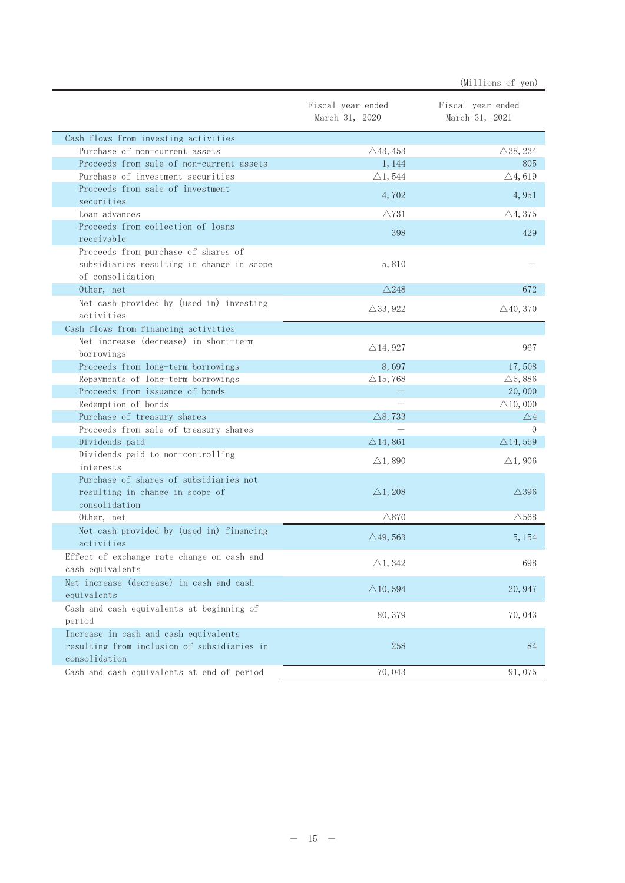|                                                                                                       |                                     | (Millions of yen)                   |
|-------------------------------------------------------------------------------------------------------|-------------------------------------|-------------------------------------|
|                                                                                                       | Fiscal year ended<br>March 31, 2020 | Fiscal year ended<br>March 31, 2021 |
| Cash flows from investing activities                                                                  |                                     |                                     |
| Purchase of non-current assets                                                                        | $\triangle$ 43, 453                 | $\triangle$ 38, 234                 |
| Proceeds from sale of non-current assets                                                              | 1, 144                              | 805                                 |
| Purchase of investment securities                                                                     | $\triangle$ 1, 544                  | $\triangle$ 4, 619                  |
| Proceeds from sale of investment<br>securities                                                        | 4,702                               | 4,951                               |
| Loan advances                                                                                         | $\triangle 731$                     | $\triangle 4, 375$                  |
| Proceeds from collection of loans<br>receivable                                                       | 398                                 | 429                                 |
| Proceeds from purchase of shares of<br>subsidiaries resulting in change in scope<br>of consolidation  | 5,810                               |                                     |
| Other, net                                                                                            | $\triangle$ 248                     | 672                                 |
| Net cash provided by (used in) investing<br>activities                                                | $\triangle$ 33, 922                 | $\triangle$ 40, 370                 |
| Cash flows from financing activities                                                                  |                                     |                                     |
| Net increase (decrease) in short-term<br>borrowings                                                   | $\triangle$ 14, 927                 | 967                                 |
| Proceeds from long-term borrowings                                                                    | 8,697                               | 17,508                              |
| Repayments of long-term borrowings                                                                    | $\triangle$ 15,768                  | $\triangle$ 5, 886                  |
| Proceeds from issuance of bonds                                                                       |                                     | 20,000                              |
| Redemption of bonds                                                                                   |                                     | $\triangle$ 10,000                  |
| Purchase of treasury shares                                                                           | $\triangle$ 8, 733                  | $\triangle 4$                       |
| Proceeds from sale of treasury shares                                                                 |                                     | $\Omega$                            |
| Dividends paid                                                                                        | $\triangle$ 14,861                  | $\triangle$ 14, 559                 |
| Dividends paid to non-controlling<br>interests                                                        | $\triangle$ 1,890                   | $\triangle$ 1, 906                  |
| Purchase of shares of subsidiaries not<br>resulting in change in scope of<br>consolidation            | $\triangle$ 1, 208                  | $\triangle$ 396                     |
| Other, net                                                                                            | $\triangle$ 870                     | $\triangle$ 568                     |
| Net cash provided by (used in) financing<br>activities                                                | $\triangle$ 49, 563                 | 5, 154                              |
| Effect of exchange rate change on cash and<br>cash equivalents                                        | $\triangle$ 1, 342                  | 698                                 |
| Net increase (decrease) in cash and cash<br>equivalents                                               | $\triangle$ 10,594                  | 20, 947                             |
| Cash and cash equivalents at beginning of<br>period                                                   | 80, 379                             | 70,043                              |
| Increase in cash and cash equivalents<br>resulting from inclusion of subsidiaries in<br>consolidation | 258                                 | 84                                  |
| Cash and cash equivalents at end of period                                                            | 70,043                              | 91,075                              |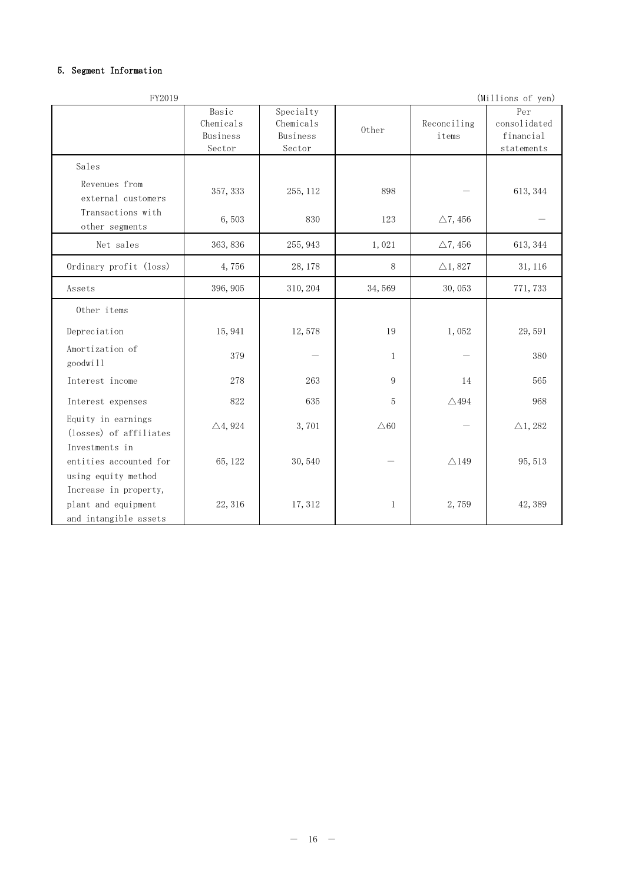## 5. Segment Information

| FY2019                                                                |                                          |                                              |                |                      | (Millions of yen)                              |
|-----------------------------------------------------------------------|------------------------------------------|----------------------------------------------|----------------|----------------------|------------------------------------------------|
|                                                                       | Basic<br>Chemicals<br>Business<br>Sector | Specialty<br>Chemicals<br>Business<br>Sector | Other          | Reconciling<br>items | Per<br>consolidated<br>financial<br>statements |
| Sales                                                                 |                                          |                                              |                |                      |                                                |
| Revenues from<br>external customers                                   | 357, 333                                 | 255, 112                                     | 898            |                      | 613, 344                                       |
| Transactions with<br>other segments                                   | 6,503                                    | 830                                          | 123            | $\triangle$ 7, 456   |                                                |
| Net sales                                                             | 363, 836                                 | 255, 943                                     | 1,021          | $\triangle$ 7, 456   | 613, 344                                       |
| Ordinary profit (loss)                                                | 4,756                                    | 28, 178                                      | 8              | $\triangle$ 1, 827   | 31, 116                                        |
| Assets                                                                | 396, 905                                 | 310, 204                                     | 34,569         | 30,053               | 771, 733                                       |
| Other items                                                           |                                          |                                              |                |                      |                                                |
| Depreciation                                                          | 15,941                                   | 12,578                                       | 19             | 1,052                | 29,591                                         |
| Amortization of<br>goodwill                                           | 379                                      |                                              | $\mathbf{1}$   |                      | 380                                            |
| Interest income                                                       | 278                                      | 263                                          | 9              | 14                   | 565                                            |
| Interest expenses                                                     | 822                                      | 635                                          | 5              | $\triangle 494$      | 968                                            |
| Equity in earnings<br>(losses) of affiliates                          | $\triangle 4,924$                        | 3,701                                        | $\triangle 60$ |                      | $\triangle$ 1, 282                             |
| Investments in<br>entities accounted for<br>using equity method       | 65, 122                                  | 30,540                                       |                | $\triangle$ 149      | 95, 513                                        |
| Increase in property,<br>plant and equipment<br>and intangible assets | 22, 316                                  | 17,312                                       | $\mathbf{1}$   | 2,759                | 42,389                                         |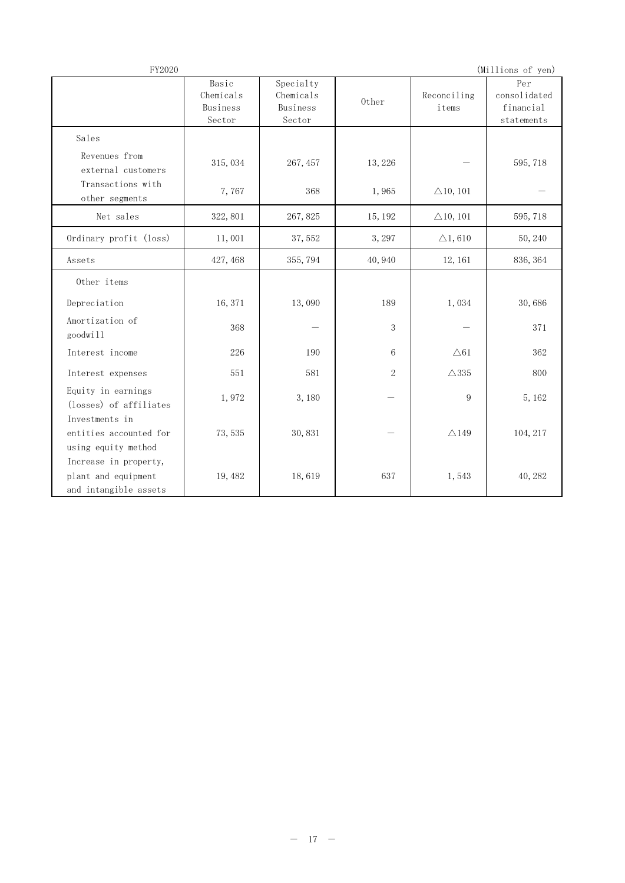| FY2020                                                                |                                          |                                              |            |                      | (Millions of yen)                              |
|-----------------------------------------------------------------------|------------------------------------------|----------------------------------------------|------------|----------------------|------------------------------------------------|
|                                                                       | Basic<br>Chemicals<br>Business<br>Sector | Specialty<br>Chemicals<br>Business<br>Sector | Other      | Reconciling<br>items | Per<br>consolidated<br>financial<br>statements |
| Sales                                                                 |                                          |                                              |            |                      |                                                |
| Revenues from<br>external customers                                   | 315, 034                                 | 267, 457                                     | 13, 226    |                      | 595, 718                                       |
| Transactions with<br>other segments                                   | 7,767                                    | 368                                          | 1,965      | $\triangle$ 10, 101  |                                                |
| Net sales                                                             | 322, 801                                 | 267, 825                                     | 15, 192    | $\triangle$ 10, 101  | 595, 718                                       |
| Ordinary profit (loss)                                                | 11,001                                   | 37,552                                       | 3, 297     | $\triangle$ 1,610    | 50, 240                                        |
| Assets                                                                | 427, 468                                 | 355, 794                                     | 40,940     | 12, 161              | 836, 364                                       |
| Other items                                                           |                                          |                                              |            |                      |                                                |
| Depreciation                                                          | 16,371                                   | 13,090                                       | 189        | 1,034                | 30,686                                         |
| Amortization of<br>goodwill                                           | 368                                      |                                              | 3          |                      | 371                                            |
| Interest income                                                       | 226                                      | 190                                          | 6          | $\triangle 61$       | 362                                            |
| Interest expenses                                                     | 551                                      | 581                                          | $\sqrt{2}$ | $\triangle 335$      | 800                                            |
| Equity in earnings<br>(losses) of affiliates                          | 1,972                                    | 3,180                                        |            | 9                    | 5, 162                                         |
| Investments in<br>entities accounted for<br>using equity method       | 73,535                                   | 30,831                                       |            | $\triangle$ 149      | 104, 217                                       |
| Increase in property,<br>plant and equipment<br>and intangible assets | 19,482                                   | 18,619                                       | 637        | 1,543                | 40,282                                         |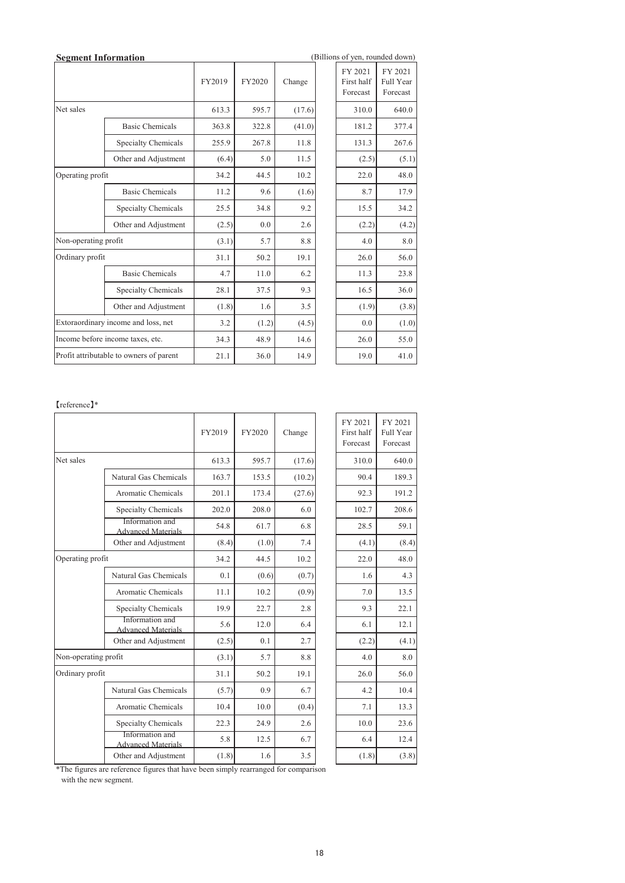|                      | <b>Segment Information</b>              |        |        |        | (Billions of yen, rounded down)   |                                  |
|----------------------|-----------------------------------------|--------|--------|--------|-----------------------------------|----------------------------------|
|                      |                                         | FY2019 | FY2020 | Change | FY 2021<br>First half<br>Forecast | FY 2021<br>Full Year<br>Forecast |
| Net sales            |                                         | 613.3  | 595.7  | (17.6) | 310.0                             | 640.0                            |
|                      | <b>Basic Chemicals</b>                  | 363.8  | 322.8  | (41.0) | 181.2                             | 377.4                            |
|                      | Specialty Chemicals                     | 255.9  | 267.8  | 11.8   | 131.3                             | 267.6                            |
|                      | Other and Adjustment                    | (6.4)  | 5.0    | 11.5   | (2.5)                             | (5.1)                            |
|                      | Operating profit                        |        | 44.5   | 10.2   | 22.0                              | 48.0                             |
|                      | <b>Basic Chemicals</b>                  | 11.2   | 9.6    | (1.6)  | 8.7                               | 17.9                             |
|                      | Specialty Chemicals                     | 25.5   | 34.8   | 9.2    | 15.5                              | 34.2                             |
|                      | Other and Adjustment                    | (2.5)  | 0.0    | 2.6    | (2.2)                             | (4.2)                            |
| Non-operating profit |                                         | (3.1)  | 5.7    | 8.8    | 4.0                               | 8.0                              |
| Ordinary profit      |                                         | 31.1   | 50.2   | 19.1   | 26.0                              | 56.0                             |
|                      | <b>Basic Chemicals</b>                  | 4.7    | 11.0   | 6.2    | 11.3                              | 23.8                             |
|                      | Specialty Chemicals                     | 28.1   | 37.5   | 9.3    | 16.5                              | 36.0                             |
|                      | Other and Adjustment                    | (1.8)  | 1.6    | 3.5    | (1.9)                             | (3.8)                            |
|                      | Extoraordinary income and loss, net     | 3.2    | (1.2)  | (4.5)  | 0.0                               | (1.0)                            |
|                      | Income before income taxes, etc.        | 34.3   | 48.9   | 14.6   | 26.0                              | 55.0                             |
|                      | Profit attributable to owners of parent | 21.1   | 36.0   | 14.9   | 19.0                              | 41.0                             |
|                      |                                         |        |        |        |                                   |                                  |

#### 䛆reference䛇\*

|                      |                                              | FY2019 | FY2020 | Change | FY 2021<br>First half<br>Forecast | FY 2021<br>Full Year<br>Forecast |
|----------------------|----------------------------------------------|--------|--------|--------|-----------------------------------|----------------------------------|
| Net sales            |                                              | 613.3  | 595.7  | (17.6) | 310.0                             | 640.0                            |
|                      | Natural Gas Chemicals                        | 163.7  | 153.5  | (10.2) | 90.4                              | 189.3                            |
|                      | Aromatic Chemicals                           | 201.1  | 173.4  | (27.6) | 92.3                              | 191.2                            |
|                      | Specialty Chemicals                          | 202.0  | 208.0  | 6.0    | 102.7                             | 208.6                            |
|                      | Information and<br><b>Advanced Materials</b> | 54.8   | 61.7   | 6.8    | 28.5                              | 59.1                             |
|                      | Other and Adjustment                         | (8.4)  | (1.0)  | 7.4    | (4.1)                             | (8.4)                            |
| Operating profit     |                                              | 34.2   | 44.5   | 10.2   | 22.0                              | 48.0                             |
|                      | Natural Gas Chemicals                        | 0.1    | (0.6)  | (0.7)  | 1.6                               | 4.3                              |
|                      | Aromatic Chemicals                           | 11.1   | 10.2   | (0.9)  | 7.0                               | 13.5                             |
|                      | Specialty Chemicals                          | 19.9   | 22.7   | 2.8    | 9.3                               | 22.1                             |
|                      | Information and<br><b>Advanced Materials</b> | 5.6    | 12.0   | 6.4    | 6.1                               | 12.1                             |
|                      | Other and Adjustment                         | (2.5)  | 0.1    | 2.7    | (2.2)                             | (4.1)                            |
| Non-operating profit |                                              | (3.1)  | 5.7    | 8.8    | 4.0                               | 8.0                              |
| Ordinary profit      |                                              | 31.1   | 50.2   | 19.1   | 26.0                              | 56.0                             |
|                      | Natural Gas Chemicals                        | (5.7)  | 0.9    | 6.7    | 4.2                               | 10.4                             |
|                      | Aromatic Chemicals                           | 10.4   | 10.0   | (0.4)  | 7.1                               | 13.3                             |
|                      | Specialty Chemicals                          | 22.3   | 24.9   | 2.6    | 10.0                              | 23.6                             |
|                      | Information and<br><b>Advanced Materials</b> | 5.8    | 12.5   | 6.7    | 6.4                               | 12.4                             |
|                      | Other and Adjustment                         | (1.8)  | 1.6    | 3.5    | (1.8)                             | (3.8)                            |
|                      |                                              |        |        |        |                                   |                                  |

\*The figures are reference figures that have been simply rearranged for comparison with the new segment.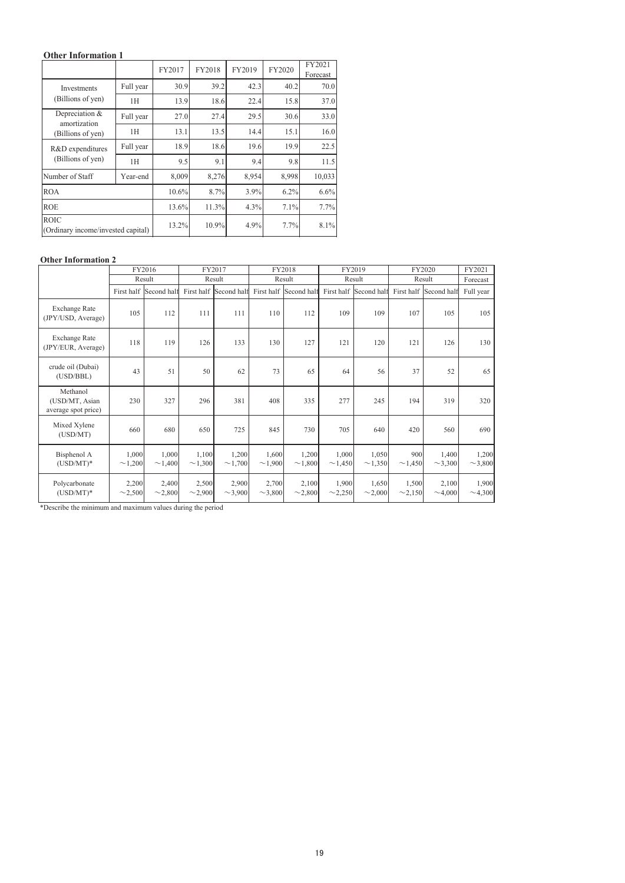## **Other Information 1**

|                                                   |           | FY2017   | FY2018 | FY2019 | FY2020 | FY2021<br>Forecast |
|---------------------------------------------------|-----------|----------|--------|--------|--------|--------------------|
| Investments                                       | Full year | 30.9     | 39.2   | 42.3   | 40.2   | 70.0               |
| (Billions of yen)                                 | 1H        | 13.9     | 18.6   | 22.4   | 15.8   | 37.0               |
| Depreciation &                                    | Full year | 27.0     | 27.4   | 29.5   | 30.6   | 33.0               |
| amortization<br>(Billions of yen)                 | 1H        | 13.1     | 13.5   | 14.4   | 15.1   | 16.0               |
| R&D expenditures                                  | Full year | 18.9     | 18.6   | 19.6   | 19.9   | 22.5               |
| (Billions of yen)                                 | 1H        | 9.5      | 9.1    | 9.4    | 9.8    | 11.5               |
| Number of Staff                                   | Year-end  | 8,009    | 8,276  | 8,954  | 8,998  | 10,033             |
| <b>ROA</b>                                        |           | $10.6\%$ | 8.7%   | 3.9%   | 6.2%   | 6.6%               |
| <b>ROE</b>                                        |           | 13.6%    | 11.3%  | 4.3%   | 7.1%   | 7.7%               |
| <b>ROIC</b><br>(Ordinary income/invested capital) |           | 13.2%    | 10.9%  | 4.9%   | 7.7%   | 8.1%               |

#### **Other Information 2**

|                                                   |                       | FY2016                 |                       | FY2017                |                       | FY2018                |                       | FY2019                 |                       | FY2020                 | FY2021                |
|---------------------------------------------------|-----------------------|------------------------|-----------------------|-----------------------|-----------------------|-----------------------|-----------------------|------------------------|-----------------------|------------------------|-----------------------|
|                                                   |                       | Result                 |                       | Result                |                       | Result                |                       | Result                 |                       | Result                 | Forecast              |
|                                                   |                       | First half Second half | First half            | Second half           | First half            | Second half           |                       | First half Second half |                       | First half Second half | Full year             |
| Exchange Rate<br>(JPY/USD, Average)               | 105                   | 112                    | 111                   | 111                   | 110                   | 112                   | 109                   | 109                    | 107                   | 105                    | 105                   |
| <b>Exchange Rate</b><br>(JPY/EUR, Average)        | 118                   | 119                    | 126                   | 133                   | 130                   | 127                   | 121                   | 120                    | 121                   | 126                    | 130                   |
| crude oil (Dubai)<br>(USD/BBL)                    | 43                    | 51                     | 50                    | 62                    | 73                    | 65                    | 64                    | 56                     | 37                    | 52                     | 65                    |
| Methanol<br>(USD/MT, Asian<br>average spot price) | 230                   | 327                    | 296                   | 381                   | 408                   | 335                   | 277                   | 245                    | 194                   | 319                    | 320                   |
| Mixed Xylene<br>(USD/MT)                          | 660                   | 680                    | 650                   | 725                   | 845                   | 730                   | 705                   | 640                    | 420                   | 560                    | 690                   |
| Bisphenol A<br>$(USD/MT)^*$                       | 1,000<br>$\sim$ 1,200 | 1,000<br>$\sim$ 1,400  | 1,100<br>$\sim$ 1,300 | 1,200<br>$\sim$ 1,700 | 1,600<br>$\sim$ 1,900 | 1,200<br>$\sim$ 1,800 | 1,000<br>$\sim$ 1,450 | 1,050<br>$\sim$ 1,350  | 900<br>$\sim$ 1,450   | 1,400<br>$\sim$ 3,300  | 1,200<br>$\sim$ 3,800 |
| Polycarbonate<br>$(USD/MT)^*$                     | 2,200<br>$\sim$ 2,500 | 2,400<br>$\sim$ 2,800  | 2,500<br>$\sim$ 2,900 | 2,900<br>$\sim$ 3,900 | 2,700<br>$\sim$ 3,800 | 2,100<br>$\sim$ 2,800 | 1,900<br>$\sim$ 2,250 | 1,650<br>$\sim$ 2,000  | 1,500<br>$\sim$ 2,150 | 2,100<br>$\sim$ 4,000  | 1,900<br>$\sim$ 4,300 |

\*Describe the minimum and maximum values during the period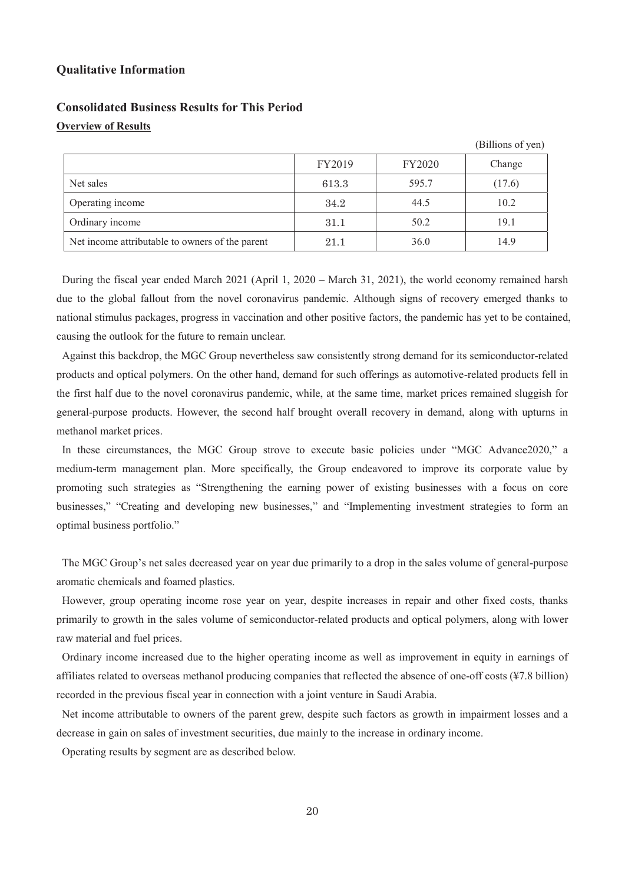#### **Qualitative Information**

# **Consolidated Business Results for This Period Overview of Results**

|                                                 | FY2019 | <b>FY2020</b> | Change |
|-------------------------------------------------|--------|---------------|--------|
| Net sales                                       | 613.3  | 595.7         | (17.6) |
| Operating income                                | 34.2   | 44.5          | 10.2   |
| Ordinary income                                 | 31.1   | 50.2          | 19.1   |
| Net income attributable to owners of the parent | 21.1   | 36.0          | 14.9   |
|                                                 |        |               |        |

(Billions of yen)

During the fiscal year ended March 2021 (April 1, 2020 – March 31, 2021), the world economy remained harsh due to the global fallout from the novel coronavirus pandemic. Although signs of recovery emerged thanks to national stimulus packages, progress in vaccination and other positive factors, the pandemic has yet to be contained, causing the outlook for the future to remain unclear.

Against this backdrop, the MGC Group nevertheless saw consistently strong demand for its semiconductor-related products and optical polymers. On the other hand, demand for such offerings as automotive-related products fell in the first half due to the novel coronavirus pandemic, while, at the same time, market prices remained sluggish for general-purpose products. However, the second half brought overall recovery in demand, along with upturns in methanol market prices.

In these circumstances, the MGC Group strove to execute basic policies under "MGC Advance2020," a medium-term management plan. More specifically, the Group endeavored to improve its corporate value by promoting such strategies as "Strengthening the earning power of existing businesses with a focus on core businesses," "Creating and developing new businesses," and "Implementing investment strategies to form an optimal business portfolio."

The MGC Group's net sales decreased year on year due primarily to a drop in the sales volume of general-purpose aromatic chemicals and foamed plastics.

However, group operating income rose year on year, despite increases in repair and other fixed costs, thanks primarily to growth in the sales volume of semiconductor-related products and optical polymers, along with lower raw material and fuel prices.

Ordinary income increased due to the higher operating income as well as improvement in equity in earnings of affiliates related to overseas methanol producing companies that reflected the absence of one-off costs (¥7.8 billion) recorded in the previous fiscal year in connection with a joint venture in Saudi Arabia.

Net income attributable to owners of the parent grew, despite such factors as growth in impairment losses and a decrease in gain on sales of investment securities, due mainly to the increase in ordinary income.

Operating results by segment are as described below.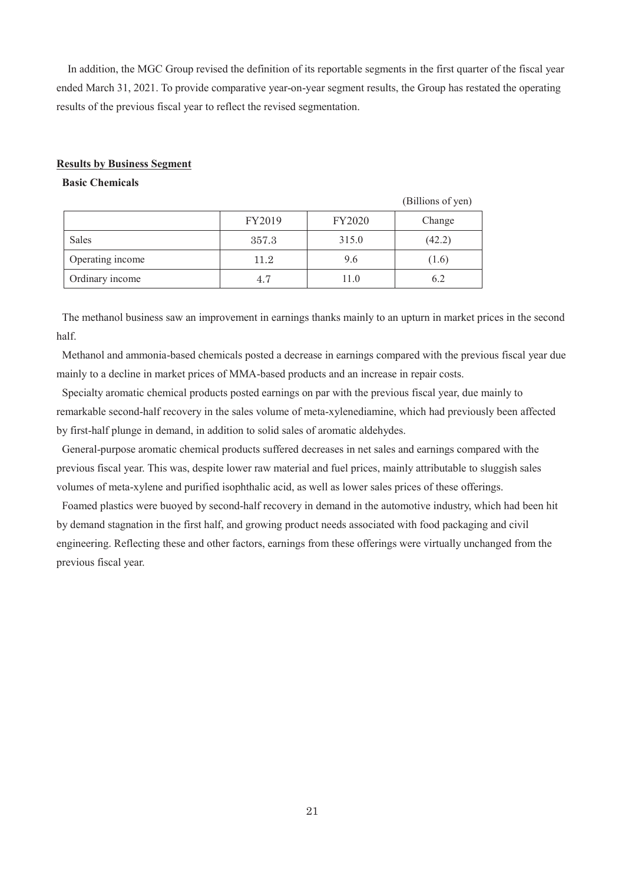In addition, the MGC Group revised the definition of its reportable segments in the first quarter of the fiscal year ended March 31, 2021. To provide comparative year-on-year segment results, the Group has restated the operating results of the previous fiscal year to reflect the revised segmentation.

## **Results by Business Segment**

#### **Basic Chemicals**

|                  |        |               | (Billions of yen) |
|------------------|--------|---------------|-------------------|
|                  | FY2019 | <b>FY2020</b> | Change            |
| Sales            | 357.3  | 315.0         | (42.2)            |
| Operating income | 11.2   | 9.6           | (1.6)             |
| Ordinary income  | 4.7    | 11.0          | 6.2               |

The methanol business saw an improvement in earnings thanks mainly to an upturn in market prices in the second half.

Methanol and ammonia-based chemicals posted a decrease in earnings compared with the previous fiscal year due mainly to a decline in market prices of MMA-based products and an increase in repair costs.

Specialty aromatic chemical products posted earnings on par with the previous fiscal year, due mainly to remarkable second-half recovery in the sales volume of meta-xylenediamine, which had previously been affected by first-half plunge in demand, in addition to solid sales of aromatic aldehydes.

General-purpose aromatic chemical products suffered decreases in net sales and earnings compared with the previous fiscal year. This was, despite lower raw material and fuel prices, mainly attributable to sluggish sales volumes of meta-xylene and purified isophthalic acid, as well as lower sales prices of these offerings.

Foamed plastics were buoyed by second-half recovery in demand in the automotive industry, which had been hit by demand stagnation in the first half, and growing product needs associated with food packaging and civil engineering. Reflecting these and other factors, earnings from these offerings were virtually unchanged from the previous fiscal year.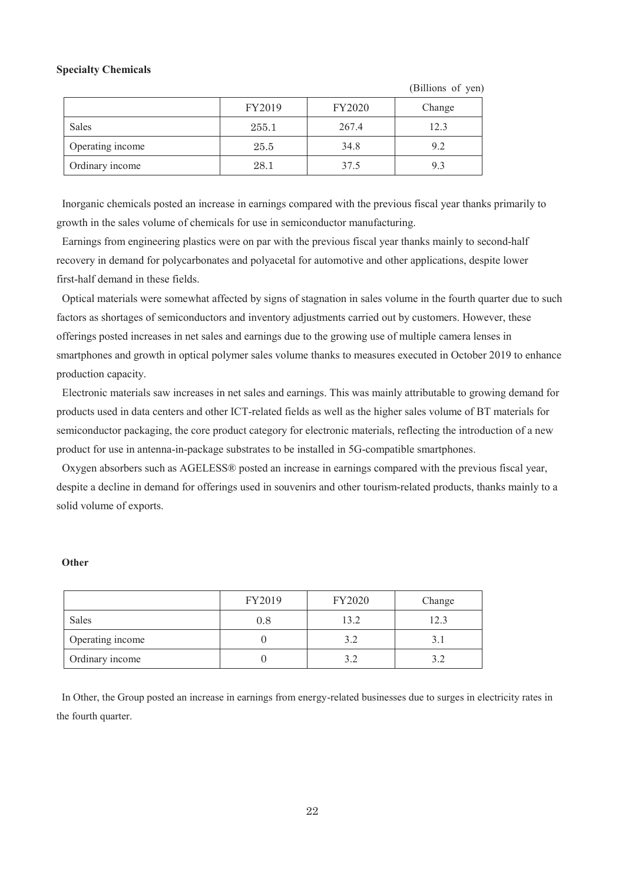#### **Specialty Chemicals**

(Billions of yen)

|                  | FY2019 | FY2020 | Change |
|------------------|--------|--------|--------|
| <b>Sales</b>     | 255.1  | 267.4  | 12.3   |
| Operating income | 25.5   | 34.8   | 9.2    |
| Ordinary income  | 28.1   | 37.5   | 9.3    |

Inorganic chemicals posted an increase in earnings compared with the previous fiscal year thanks primarily to growth in the sales volume of chemicals for use in semiconductor manufacturing.

Earnings from engineering plastics were on par with the previous fiscal year thanks mainly to second-half recovery in demand for polycarbonates and polyacetal for automotive and other applications, despite lower first-half demand in these fields.

Optical materials were somewhat affected by signs of stagnation in sales volume in the fourth quarter due to such factors as shortages of semiconductors and inventory adjustments carried out by customers. However, these offerings posted increases in net sales and earnings due to the growing use of multiple camera lenses in smartphones and growth in optical polymer sales volume thanks to measures executed in October 2019 to enhance production capacity.

Electronic materials saw increases in net sales and earnings. This was mainly attributable to growing demand for products used in data centers and other ICT-related fields as well as the higher sales volume of BT materials for semiconductor packaging, the core product category for electronic materials, reflecting the introduction of a new product for use in antenna-in-package substrates to be installed in 5G-compatible smartphones.

Oxygen absorbers such as AGELESS® posted an increase in earnings compared with the previous fiscal year, despite a decline in demand for offerings used in souvenirs and other tourism-related products, thanks mainly to a solid volume of exports.

#### **Other**

|                  | FY2019 | <b>FY2020</b> | Change |
|------------------|--------|---------------|--------|
| Sales            | 0.8    | 13.2          | 12.3   |
| Operating income |        | 3.2           |        |
| Ordinary income  |        | 3.2           |        |

In Other, the Group posted an increase in earnings from energy-related businesses due to surges in electricity rates in the fourth quarter.